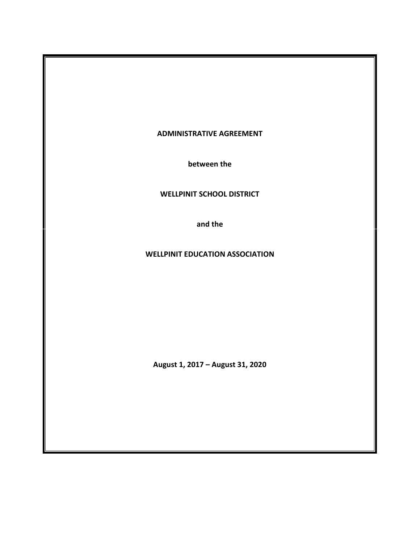#### **ADMINISTRATIVE AGREEMENT**

**between the**

#### **WELLPINIT SCHOOL DISTRICT**

**and the**

#### **WELLPINIT EDUCATION ASSOCIATION**

**August 1, 2017 – August 31, 2020**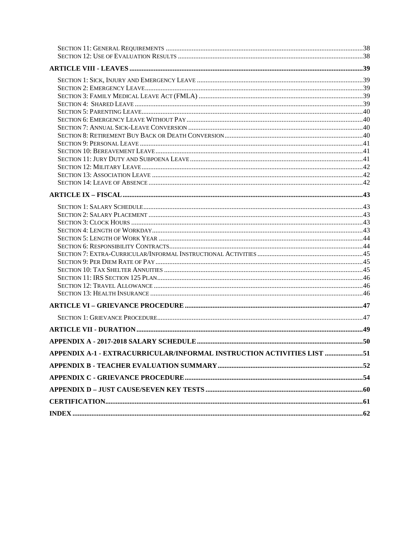| APPENDIX A-1 - EXTRACURRICULAR/INFORMAL INSTRUCTION ACTIVITIES LIST 51 |  |
|------------------------------------------------------------------------|--|
|                                                                        |  |
|                                                                        |  |
|                                                                        |  |
|                                                                        |  |
|                                                                        |  |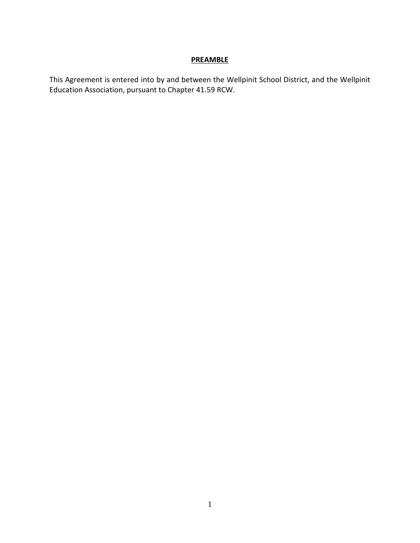#### **PREAMBLE**

<span id="page-4-0"></span>This Agreement is entered into by and between the Wellpinit School District, and the Wellpinit Education Association, pursuant to Chapter 41.59 RCW.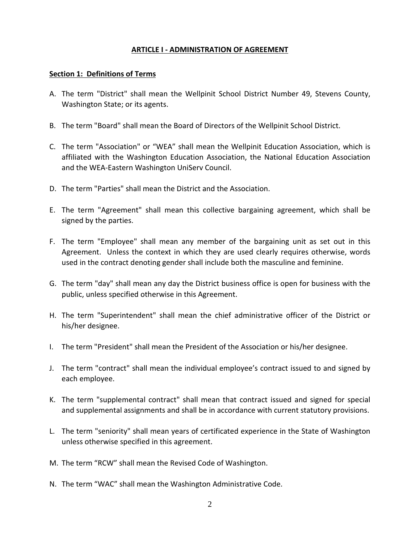#### **ARTICLE I - ADMINISTRATION OF AGREEMENT**

#### <span id="page-5-1"></span><span id="page-5-0"></span>**Section 1: Definitions of Terms**

- A. The term "District" shall mean the Wellpinit School District Number 49, Stevens County, Washington State; or its agents.
- B. The term "Board" shall mean the Board of Directors of the Wellpinit School District.
- C. The term "Association" or "WEA" shall mean the Wellpinit Education Association, which is affiliated with the Washington Education Association, the National Education Association and the WEA-Eastern Washington UniServ Council.
- D. The term "Parties" shall mean the District and the Association.
- E. The term "Agreement" shall mean this collective bargaining agreement, which shall be signed by the parties.
- F. The term "Employee" shall mean any member of the bargaining unit as set out in this Agreement. Unless the context in which they are used clearly requires otherwise, words used in the contract denoting gender shall include both the masculine and feminine.
- G. The term "day" shall mean any day the District business office is open for business with the public, unless specified otherwise in this Agreement.
- H. The term "Superintendent" shall mean the chief administrative officer of the District or his/her designee.
- I. The term "President" shall mean the President of the Association or his/her designee.
- J. The term "contract" shall mean the individual employee's contract issued to and signed by each employee.
- K. The term "supplemental contract" shall mean that contract issued and signed for special and supplemental assignments and shall be in accordance with current statutory provisions.
- L. The term "seniority" shall mean years of certificated experience in the State of Washington unless otherwise specified in this agreement.
- M. The term "RCW" shall mean the Revised Code of Washington.
- N. The term "WAC" shall mean the Washington Administrative Code.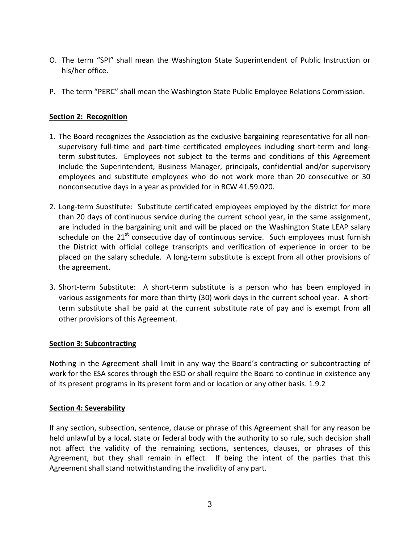- O. The term "SPI" shall mean the Washington State Superintendent of Public Instruction or his/her office.
- P. The term "PERC" shall mean the Washington State Public Employee Relations Commission.

#### <span id="page-6-0"></span>**Section 2: Recognition**

- 1. The Board recognizes the Association as the exclusive bargaining representative for all nonsupervisory full-time and part-time certificated employees including short-term and longterm substitutes. Employees not subject to the terms and conditions of this Agreement include the Superintendent, Business Manager, principals, confidential and/or supervisory employees and substitute employees who do not work more than 20 consecutive or 30 nonconsecutive days in a year as provided for in RCW 41.59.020.
- 2. Long-term Substitute: Substitute certificated employees employed by the district for more than 20 days of continuous service during the current school year, in the same assignment, are included in the bargaining unit and will be placed on the Washington State LEAP salary schedule on the  $21^{st}$  consecutive day of continuous service. Such employees must furnish the District with official college transcripts and verification of experience in order to be placed on the salary schedule. A long-term substitute is except from all other provisions of the agreement.
- 3. Short-term Substitute: A short-term substitute is a person who has been employed in various assignments for more than thirty (30) work days in the current school year. A shortterm substitute shall be paid at the current substitute rate of pay and is exempt from all other provisions of this Agreement.

#### <span id="page-6-1"></span>**Section 3: Subcontracting**

Nothing in the Agreement shall limit in any way the Board's contracting or subcontracting of work for the ESA scores through the ESD or shall require the Board to continue in existence any of its present programs in its present form and or location or any other basis. 1.9.2

#### <span id="page-6-2"></span>**Section 4: Severability**

If any section, subsection, sentence, clause or phrase of this Agreement shall for any reason be held unlawful by a local, state or federal body with the authority to so rule, such decision shall not affect the validity of the remaining sections, sentences, clauses, or phrases of this Agreement, but they shall remain in effect. If being the intent of the parties that this Agreement shall stand notwithstanding the invalidity of any part.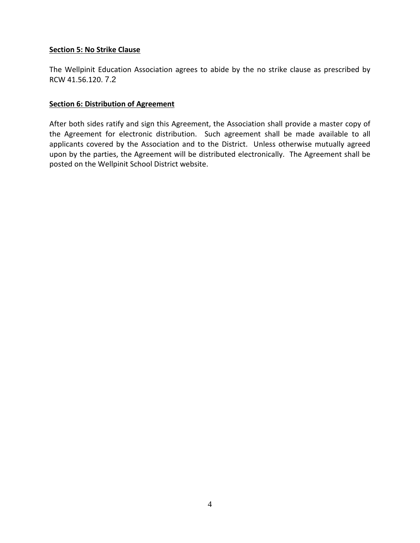#### <span id="page-7-0"></span>**Section 5: No Strike Clause**

The Wellpinit Education Association agrees to abide by the no strike clause as prescribed by RCW 41.56.120. 7.2

#### <span id="page-7-1"></span>**Section 6: Distribution of Agreement**

After both sides ratify and sign this Agreement, the Association shall provide a master copy of the Agreement for electronic distribution. Such agreement shall be made available to all applicants covered by the Association and to the District. Unless otherwise mutually agreed upon by the parties, the Agreement will be distributed electronically. The Agreement shall be posted on the Wellpinit School District website.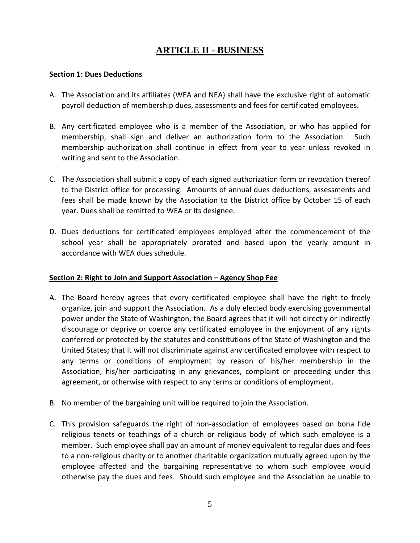### **ARTICLE II - BUSINESS**

#### <span id="page-8-1"></span><span id="page-8-0"></span>**Section 1: Dues Deductions**

- A. The Association and its affiliates (WEA and NEA) shall have the exclusive right of automatic payroll deduction of membership dues, assessments and fees for certificated employees.
- B. Any certificated employee who is a member of the Association, or who has applied for membership, shall sign and deliver an authorization form to the Association. Such membership authorization shall continue in effect from year to year unless revoked in writing and sent to the Association.
- C. The Association shall submit a copy of each signed authorization form or revocation thereof to the District office for processing. Amounts of annual dues deductions, assessments and fees shall be made known by the Association to the District office by October 15 of each year. Dues shall be remitted to WEA or its designee.
- D. Dues deductions for certificated employees employed after the commencement of the school year shall be appropriately prorated and based upon the yearly amount in accordance with WEA dues schedule.

#### <span id="page-8-2"></span>**Section 2: Right to Join and Support Association – Agency Shop Fee**

- A. The Board hereby agrees that every certificated employee shall have the right to freely organize, join and support the Association. As a duly elected body exercising governmental power under the State of Washington, the Board agrees that it will not directly or indirectly discourage or deprive or coerce any certificated employee in the enjoyment of any rights conferred or protected by the statutes and constitutions of the State of Washington and the United States; that it will not discriminate against any certificated employee with respect to any terms or conditions of employment by reason of his/her membership in the Association, his/her participating in any grievances, complaint or proceeding under this agreement, or otherwise with respect to any terms or conditions of employment.
- B. No member of the bargaining unit will be required to join the Association.
- C. This provision safeguards the right of non-association of employees based on bona fide religious tenets or teachings of a church or religious body of which such employee is a member. Such employee shall pay an amount of money equivalent to regular dues and fees to a non-religious charity or to another charitable organization mutually agreed upon by the employee affected and the bargaining representative to whom such employee would otherwise pay the dues and fees. Should such employee and the Association be unable to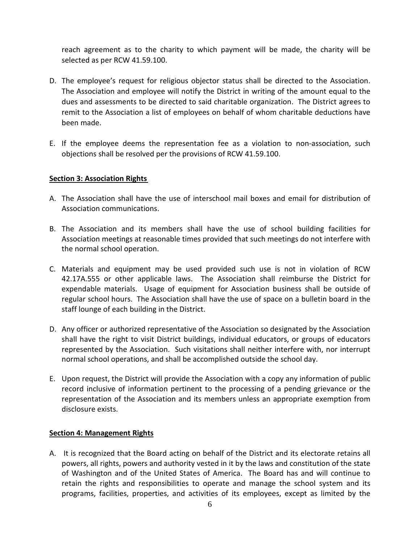reach agreement as to the charity to which payment will be made, the charity will be selected as per RCW 41.59.100.

- D. The employee's request for religious objector status shall be directed to the Association. The Association and employee will notify the District in writing of the amount equal to the dues and assessments to be directed to said charitable organization. The District agrees to remit to the Association a list of employees on behalf of whom charitable deductions have been made.
- E. If the employee deems the representation fee as a violation to non-association, such objections shall be resolved per the provisions of RCW 41.59.100.

#### <span id="page-9-0"></span>**Section 3: Association Rights**

- A. The Association shall have the use of interschool mail boxes and email for distribution of Association communications.
- B. The Association and its members shall have the use of school building facilities for Association meetings at reasonable times provided that such meetings do not interfere with the normal school operation.
- C. Materials and equipment may be used provided such use is not in violation of RCW 42.17A.555 or other applicable laws. The Association shall reimburse the District for expendable materials. Usage of equipment for Association business shall be outside of regular school hours. The Association shall have the use of space on a bulletin board in the staff lounge of each building in the District.
- D. Any officer or authorized representative of the Association so designated by the Association shall have the right to visit District buildings, individual educators, or groups of educators represented by the Association. Such visitations shall neither interfere with, nor interrupt normal school operations, and shall be accomplished outside the school day.
- E. Upon request, the District will provide the Association with a copy any information of public record inclusive of information pertinent to the processing of a pending grievance or the representation of the Association and its members unless an appropriate exemption from disclosure exists.

#### <span id="page-9-1"></span>**Section 4: Management Rights**

A. It is recognized that the Board acting on behalf of the District and its electorate retains all powers, all rights, powers and authority vested in it by the laws and constitution of the state of Washington and of the United States of America. The Board has and will continue to retain the rights and responsibilities to operate and manage the school system and its programs, facilities, properties, and activities of its employees, except as limited by the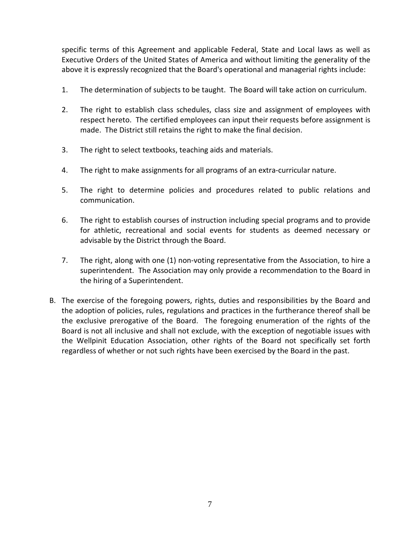specific terms of this Agreement and applicable Federal, State and Local laws as well as Executive Orders of the United States of America and without limiting the generality of the above it is expressly recognized that the Board's operational and managerial rights include:

- 1. The determination of subjects to be taught. The Board will take action on curriculum.
- 2. The right to establish class schedules, class size and assignment of employees with respect hereto. The certified employees can input their requests before assignment is made. The District still retains the right to make the final decision.
- 3. The right to select textbooks, teaching aids and materials.
- 4. The right to make assignments for all programs of an extra-curricular nature.
- 5. The right to determine policies and procedures related to public relations and communication.
- 6. The right to establish courses of instruction including special programs and to provide for athletic, recreational and social events for students as deemed necessary or advisable by the District through the Board.
- 7. The right, along with one (1) non-voting representative from the Association, to hire a superintendent. The Association may only provide a recommendation to the Board in the hiring of a Superintendent.
- B. The exercise of the foregoing powers, rights, duties and responsibilities by the Board and the adoption of policies, rules, regulations and practices in the furtherance thereof shall be the exclusive prerogative of the Board. The foregoing enumeration of the rights of the Board is not all inclusive and shall not exclude, with the exception of negotiable issues with the Wellpinit Education Association, other rights of the Board not specifically set forth regardless of whether or not such rights have been exercised by the Board in the past.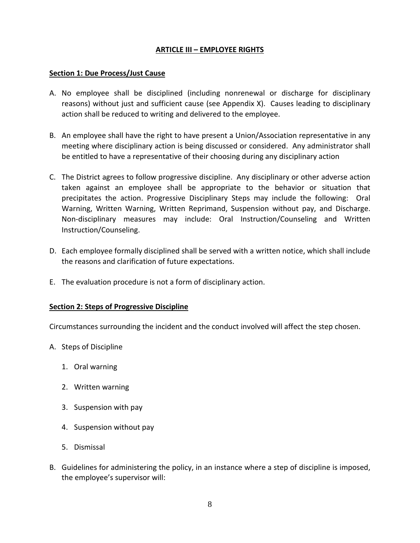#### **ARTICLE III – EMPLOYEE RIGHTS**

#### <span id="page-11-1"></span><span id="page-11-0"></span>**Section 1: Due Process/Just Cause**

- A. No employee shall be disciplined (including nonrenewal or discharge for disciplinary reasons) without just and sufficient cause (see Appendix X). Causes leading to disciplinary action shall be reduced to writing and delivered to the employee.
- B. An employee shall have the right to have present a Union/Association representative in any meeting where disciplinary action is being discussed or considered. Any administrator shall be entitled to have a representative of their choosing during any disciplinary action
- C. The District agrees to follow progressive discipline. Any disciplinary or other adverse action taken against an employee shall be appropriate to the behavior or situation that precipitates the action. Progressive Disciplinary Steps may include the following: Oral Warning, Written Warning, Written Reprimand, Suspension without pay, and Discharge. Non-disciplinary measures may include: Oral Instruction/Counseling and Written Instruction/Counseling.
- D. Each employee formally disciplined shall be served with a written notice, which shall include the reasons and clarification of future expectations.
- E. The evaluation procedure is not a form of disciplinary action.

#### <span id="page-11-2"></span>**Section 2: Steps of Progressive Discipline**

Circumstances surrounding the incident and the conduct involved will affect the step chosen.

- A. Steps of Discipline
	- 1. Oral warning
	- 2. Written warning
	- 3. Suspension with pay
	- 4. Suspension without pay
	- 5. Dismissal
- B. Guidelines for administering the policy, in an instance where a step of discipline is imposed, the employee's supervisor will: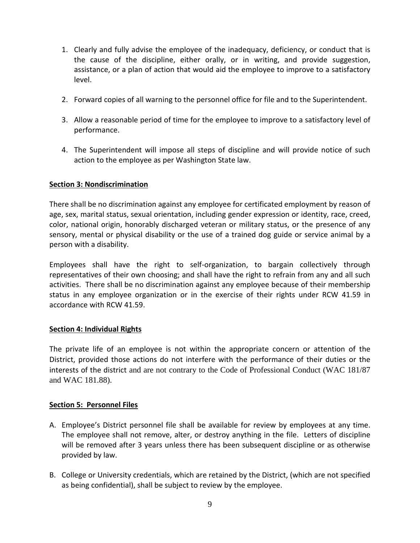- 1. Clearly and fully advise the employee of the inadequacy, deficiency, or conduct that is the cause of the discipline, either orally, or in writing, and provide suggestion, assistance, or a plan of action that would aid the employee to improve to a satisfactory level.
- 2. Forward copies of all warning to the personnel office for file and to the Superintendent.
- 3. Allow a reasonable period of time for the employee to improve to a satisfactory level of performance.
- 4. The Superintendent will impose all steps of discipline and will provide notice of such action to the employee as per Washington State law.

#### <span id="page-12-0"></span>**Section 3: Nondiscrimination**

There shall be no discrimination against any employee for certificated employment by reason of age, sex, marital status, sexual orientation, including gender expression or identity, race, creed, color, national origin, honorably discharged veteran or military status, or the presence of any sensory, mental or physical disability or the use of a trained dog guide or service animal by a person with a disability.

Employees shall have the right to self-organization, to bargain collectively through representatives of their own choosing; and shall have the right to refrain from any and all such activities. There shall be no discrimination against any employee because of their membership status in any employee organization or in the exercise of their rights under RCW 41.59 in accordance with RCW 41.59.

#### <span id="page-12-1"></span>**Section 4: Individual Rights**

The private life of an employee is not within the appropriate concern or attention of the District, provided those actions do not interfere with the performance of their duties or the interests of the district and are not contrary to the Code of Professional Conduct (WAC 181/87 and WAC 181.88).

#### <span id="page-12-2"></span>**Section 5: Personnel Files**

- A. Employee's District personnel file shall be available for review by employees at any time. The employee shall not remove, alter, or destroy anything in the file. Letters of discipline will be removed after 3 years unless there has been subsequent discipline or as otherwise provided by law.
- B. College or University credentials, which are retained by the District, (which are not specified as being confidential), shall be subject to review by the employee.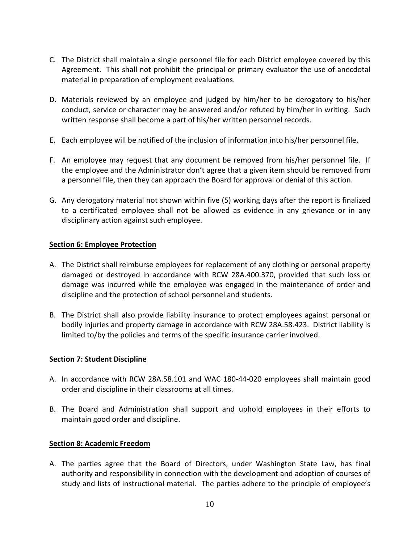- C. The District shall maintain a single personnel file for each District employee covered by this Agreement. This shall not prohibit the principal or primary evaluator the use of anecdotal material in preparation of employment evaluations.
- D. Materials reviewed by an employee and judged by him/her to be derogatory to his/her conduct, service or character may be answered and/or refuted by him/her in writing. Such written response shall become a part of his/her written personnel records.
- E. Each employee will be notified of the inclusion of information into his/her personnel file.
- F. An employee may request that any document be removed from his/her personnel file. If the employee and the Administrator don't agree that a given item should be removed from a personnel file, then they can approach the Board for approval or denial of this action.
- G. Any derogatory material not shown within five (5) working days after the report is finalized to a certificated employee shall not be allowed as evidence in any grievance or in any disciplinary action against such employee.

#### <span id="page-13-0"></span>**Section 6: Employee Protection**

- A. The District shall reimburse employees for replacement of any clothing or personal property damaged or destroyed in accordance with RCW 28A.400.370, provided that such loss or damage was incurred while the employee was engaged in the maintenance of order and discipline and the protection of school personnel and students.
- B. The District shall also provide liability insurance to protect employees against personal or bodily injuries and property damage in accordance with RCW 28A.58.423. District liability is limited to/by the policies and terms of the specific insurance carrier involved.

#### <span id="page-13-1"></span>**Section 7: Student Discipline**

- A. In accordance with RCW 28A.58.101 and WAC 180-44-020 employees shall maintain good order and discipline in their classrooms at all times.
- B. The Board and Administration shall support and uphold employees in their efforts to maintain good order and discipline.

#### <span id="page-13-2"></span>**Section 8: Academic Freedom**

A. The parties agree that the Board of Directors, under Washington State Law, has final authority and responsibility in connection with the development and adoption of courses of study and lists of instructional material. The parties adhere to the principle of employee's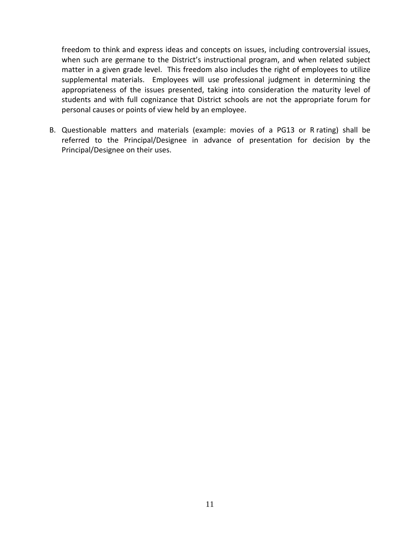freedom to think and express ideas and concepts on issues, including controversial issues, when such are germane to the District's instructional program, and when related subject matter in a given grade level. This freedom also includes the right of employees to utilize supplemental materials. Employees will use professional judgment in determining the appropriateness of the issues presented, taking into consideration the maturity level of students and with full cognizance that District schools are not the appropriate forum for personal causes or points of view held by an employee.

B. Questionable matters and materials (example: movies of a PG13 or R rating) shall be referred to the Principal/Designee in advance of presentation for decision by the Principal/Designee on their uses.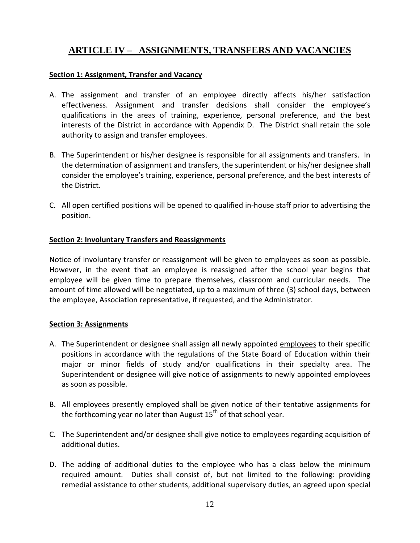### <span id="page-15-0"></span>**ARTICLE IV – ASSIGNMENTS, TRANSFERS AND VACANCIES**

#### <span id="page-15-1"></span>**Section 1: Assignment, Transfer and Vacancy**

- A. The assignment and transfer of an employee directly affects his/her satisfaction effectiveness. Assignment and transfer decisions shall consider the employee's qualifications in the areas of training, experience, personal preference, and the best interests of the District in accordance with Appendix D. The District shall retain the sole authority to assign and transfer employees.
- B. The Superintendent or his/her designee is responsible for all assignments and transfers. In the determination of assignment and transfers, the superintendent or his/her designee shall consider the employee's training, experience, personal preference, and the best interests of the District.
- C. All open certified positions will be opened to qualified in-house staff prior to advertising the position.

#### <span id="page-15-2"></span>**Section 2: Involuntary Transfers and Reassignments**

Notice of involuntary transfer or reassignment will be given to employees as soon as possible. However, in the event that an employee is reassigned after the school year begins that employee will be given time to prepare themselves, classroom and curricular needs. The amount of time allowed will be negotiated, up to a maximum of three (3) school days, between the employee, Association representative, if requested, and the Administrator.

#### <span id="page-15-3"></span>**Section 3: Assignments**

- A. The Superintendent or designee shall assign all newly appointed employees to their specific positions in accordance with the regulations of the State Board of Education within their major or minor fields of study and/or qualifications in their specialty area. The Superintendent or designee will give notice of assignments to newly appointed employees as soon as possible.
- B. All employees presently employed shall be given notice of their tentative assignments for the forthcoming year no later than August  $15<sup>th</sup>$  of that school year.
- C. The Superintendent and/or designee shall give notice to employees regarding acquisition of additional duties.
- D. The adding of additional duties to the employee who has a class below the minimum required amount. Duties shall consist of, but not limited to the following: providing remedial assistance to other students, additional supervisory duties, an agreed upon special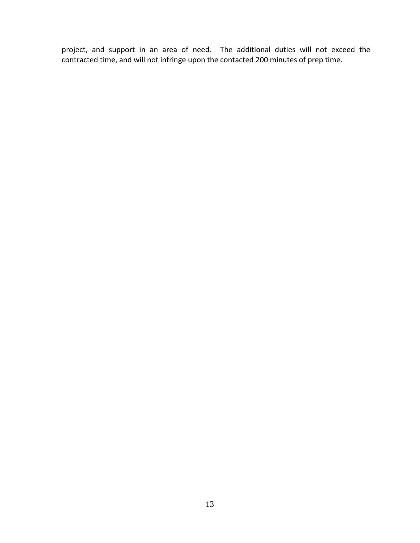project, and support in an area of need. The additional duties will not exceed the contracted time, and will not infringe upon the contacted 200 minutes of prep time.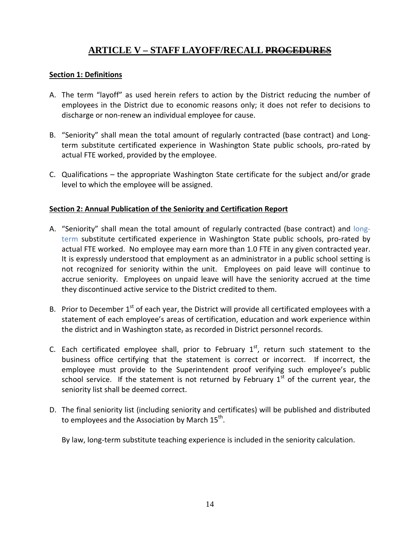### **ARTICLE V – STAFF LAYOFF/RECALL PROCEDURES**

#### <span id="page-17-1"></span><span id="page-17-0"></span>**Section 1: Definitions**

- A. The term "layoff" as used herein refers to action by the District reducing the number of employees in the District due to economic reasons only; it does not refer to decisions to discharge or non-renew an individual employee for cause.
- B. "Seniority" shall mean the total amount of regularly contracted (base contract) and Longterm substitute certificated experience in Washington State public schools, pro-rated by actual FTE worked, provided by the employee.
- C. Qualifications the appropriate Washington State certificate for the subject and/or grade level to which the employee will be assigned.

#### <span id="page-17-2"></span>**Section 2: Annual Publication of the Seniority and Certification Report**

- A. "Seniority" shall mean the total amount of regularly contracted (base contract) and longterm substitute certificated experience in Washington State public schools, pro-rated by actual FTE worked. No employee may earn more than 1.0 FTE in any given contracted year. It is expressly understood that employment as an administrator in a public school setting is not recognized for seniority within the unit. Employees on paid leave will continue to accrue seniority. Employees on unpaid leave will have the seniority accrued at the time they discontinued active service to the District credited to them.
- B. Prior to December 1<sup>st</sup> of each year, the District will provide all certificated employees with a statement of each employee's areas of certification, education and work experience within the district and in Washington state, as recorded in District personnel records.
- C. Each certificated employee shall, prior to February  $1<sup>st</sup>$ , return such statement to the business office certifying that the statement is correct or incorrect. If incorrect, the employee must provide to the Superintendent proof verifying such employee's public school service. If the statement is not returned by February  $1<sup>st</sup>$  of the current year, the seniority list shall be deemed correct.
- D. The final seniority list (including seniority and certificates) will be published and distributed to employees and the Association by March  $15^{th}$ .

By law, long-term substitute teaching experience is included in the seniority calculation.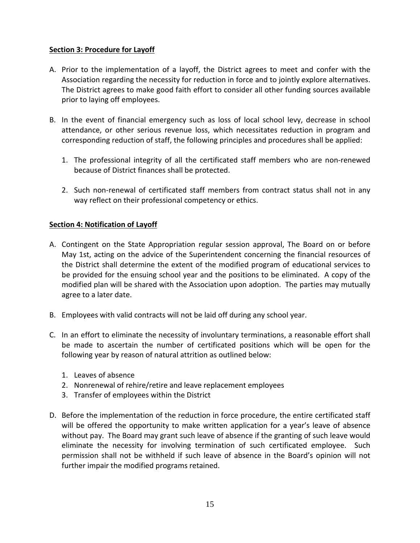#### <span id="page-18-0"></span>**Section 3: Procedure for Layoff**

- A. Prior to the implementation of a layoff, the District agrees to meet and confer with the Association regarding the necessity for reduction in force and to jointly explore alternatives. The District agrees to make good faith effort to consider all other funding sources available prior to laying off employees.
- B. In the event of financial emergency such as loss of local school levy, decrease in school attendance, or other serious revenue loss, which necessitates reduction in program and corresponding reduction of staff, the following principles and procedures shall be applied:
	- 1. The professional integrity of all the certificated staff members who are non-renewed because of District finances shall be protected.
	- 2. Such non-renewal of certificated staff members from contract status shall not in any way reflect on their professional competency or ethics.

#### <span id="page-18-1"></span>**Section 4: Notification of Layoff**

- A. Contingent on the State Appropriation regular session approval, The Board on or before May 1st, acting on the advice of the Superintendent concerning the financial resources of the District shall determine the extent of the modified program of educational services to be provided for the ensuing school year and the positions to be eliminated. A copy of the modified plan will be shared with the Association upon adoption. The parties may mutually agree to a later date.
- B. Employees with valid contracts will not be laid off during any school year.
- C. In an effort to eliminate the necessity of involuntary terminations, a reasonable effort shall be made to ascertain the number of certificated positions which will be open for the following year by reason of natural attrition as outlined below:
	- 1. Leaves of absence
	- 2. Nonrenewal of rehire/retire and leave replacement employees
	- 3. Transfer of employees within the District
- D. Before the implementation of the reduction in force procedure, the entire certificated staff will be offered the opportunity to make written application for a year's leave of absence without pay. The Board may grant such leave of absence if the granting of such leave would eliminate the necessity for involving termination of such certificated employee. Such permission shall not be withheld if such leave of absence in the Board's opinion will not further impair the modified programs retained.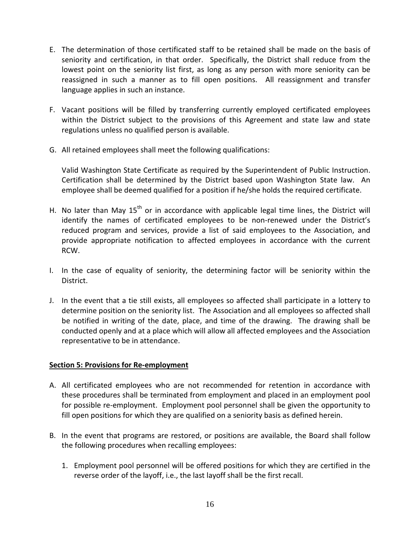- E. The determination of those certificated staff to be retained shall be made on the basis of seniority and certification, in that order. Specifically, the District shall reduce from the lowest point on the seniority list first, as long as any person with more seniority can be reassigned in such a manner as to fill open positions. All reassignment and transfer language applies in such an instance.
- F. Vacant positions will be filled by transferring currently employed certificated employees within the District subject to the provisions of this Agreement and state law and state regulations unless no qualified person is available.
- G. All retained employees shall meet the following qualifications:

Valid Washington State Certificate as required by the Superintendent of Public Instruction. Certification shall be determined by the District based upon Washington State law. An employee shall be deemed qualified for a position if he/she holds the required certificate.

- H. No later than May  $15<sup>th</sup>$  or in accordance with applicable legal time lines, the District will identify the names of certificated employees to be non-renewed under the District's reduced program and services, provide a list of said employees to the Association, and provide appropriate notification to affected employees in accordance with the current RCW.
- I. In the case of equality of seniority, the determining factor will be seniority within the District.
- J. In the event that a tie still exists, all employees so affected shall participate in a lottery to determine position on the seniority list. The Association and all employees so affected shall be notified in writing of the date, place, and time of the drawing. The drawing shall be conducted openly and at a place which will allow all affected employees and the Association representative to be in attendance.

#### <span id="page-19-0"></span>**Section 5: Provisions for Re-employment**

- A. All certificated employees who are not recommended for retention in accordance with these procedures shall be terminated from employment and placed in an employment pool for possible re-employment. Employment pool personnel shall be given the opportunity to fill open positions for which they are qualified on a seniority basis as defined herein.
- B. In the event that programs are restored, or positions are available, the Board shall follow the following procedures when recalling employees:
	- 1. Employment pool personnel will be offered positions for which they are certified in the reverse order of the layoff, i.e., the last layoff shall be the first recall.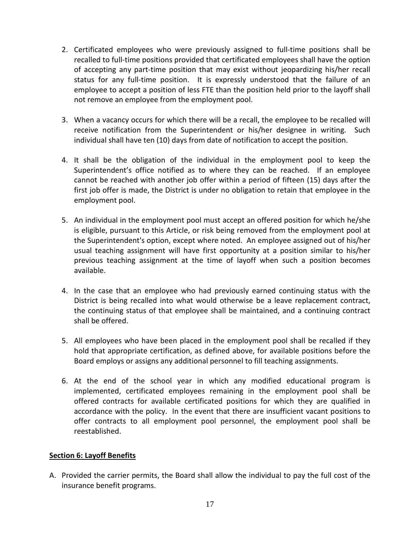- 2. Certificated employees who were previously assigned to full-time positions shall be recalled to full-time positions provided that certificated employees shall have the option of accepting any part-time position that may exist without jeopardizing his/her recall status for any full-time position. It is expressly understood that the failure of an employee to accept a position of less FTE than the position held prior to the layoff shall not remove an employee from the employment pool.
- 3. When a vacancy occurs for which there will be a recall, the employee to be recalled will receive notification from the Superintendent or his/her designee in writing. Such individual shall have ten (10) days from date of notification to accept the position.
- 4. It shall be the obligation of the individual in the employment pool to keep the Superintendent's office notified as to where they can be reached. If an employee cannot be reached with another job offer within a period of fifteen (15) days after the first job offer is made, the District is under no obligation to retain that employee in the employment pool.
- 5. An individual in the employment pool must accept an offered position for which he/she is eligible, pursuant to this Article, or risk being removed from the employment pool at the Superintendent's option, except where noted. An employee assigned out of his/her usual teaching assignment will have first opportunity at a position similar to his/her previous teaching assignment at the time of layoff when such a position becomes available.
- 4. In the case that an employee who had previously earned continuing status with the District is being recalled into what would otherwise be a leave replacement contract, the continuing status of that employee shall be maintained, and a continuing contract shall be offered.
- 5. All employees who have been placed in the employment pool shall be recalled if they hold that appropriate certification, as defined above, for available positions before the Board employs or assigns any additional personnel to fill teaching assignments.
- 6. At the end of the school year in which any modified educational program is implemented, certificated employees remaining in the employment pool shall be offered contracts for available certificated positions for which they are qualified in accordance with the policy. In the event that there are insufficient vacant positions to offer contracts to all employment pool personnel, the employment pool shall be reestablished.

#### <span id="page-20-0"></span>**Section 6: Layoff Benefits**

A. Provided the carrier permits, the Board shall allow the individual to pay the full cost of the insurance benefit programs.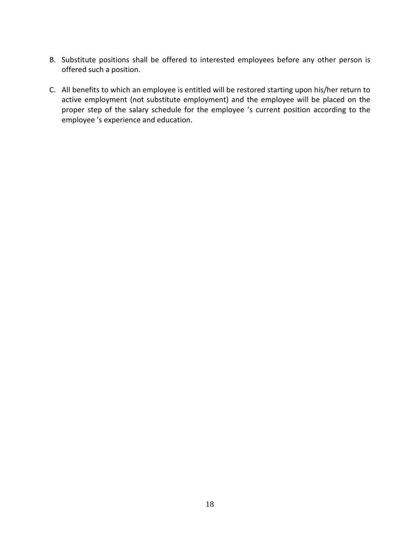- B. Substitute positions shall be offered to interested employees before any other person is offered such a position.
- C. All benefits to which an employee is entitled will be restored starting upon his/her return to active employment (not substitute employment) and the employee will be placed on the proper step of the salary schedule for the employee 's current position according to the employee 's experience and education.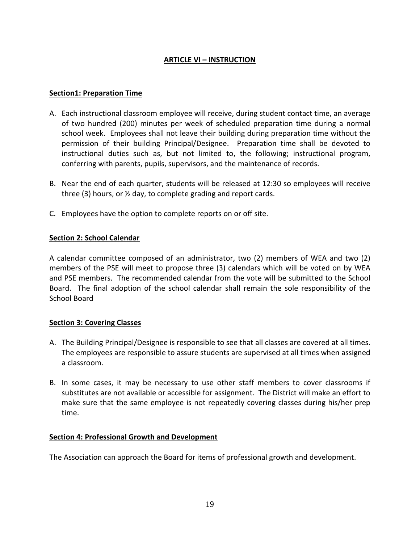#### **ARTICLE VI – INSTRUCTION**

#### <span id="page-22-1"></span><span id="page-22-0"></span>**Section1: Preparation Time**

- A. Each instructional classroom employee will receive, during student contact time, an average of two hundred (200) minutes per week of scheduled preparation time during a normal school week. Employees shall not leave their building during preparation time without the permission of their building Principal/Designee. Preparation time shall be devoted to instructional duties such as, but not limited to, the following; instructional program, conferring with parents, pupils, supervisors, and the maintenance of records.
- B. Near the end of each quarter, students will be released at 12:30 so employees will receive three (3) hours, or ½ day, to complete grading and report cards.
- C. Employees have the option to complete reports on or off site.

#### <span id="page-22-2"></span>**Section 2: School Calendar**

A calendar committee composed of an administrator, two (2) members of WEA and two (2) members of the PSE will meet to propose three (3) calendars which will be voted on by WEA and PSE members. The recommended calendar from the vote will be submitted to the School Board. The final adoption of the school calendar shall remain the sole responsibility of the School Board

#### <span id="page-22-3"></span>**Section 3: Covering Classes**

- A. The Building Principal/Designee is responsible to see that all classes are covered at all times. The employees are responsible to assure students are supervised at all times when assigned a classroom.
- B. In some cases, it may be necessary to use other staff members to cover classrooms if substitutes are not available or accessible for assignment. The District will make an effort to make sure that the same employee is not repeatedly covering classes during his/her prep time.

#### <span id="page-22-4"></span>**Section 4: Professional Growth and Development**

The Association can approach the Board for items of professional growth and development.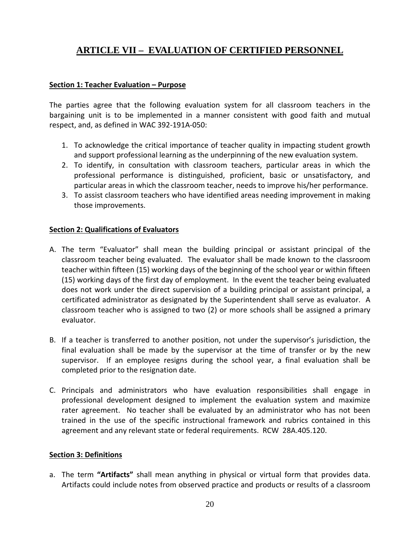### <span id="page-23-0"></span>**ARTICLE VII – EVALUATION OF CERTIFIED PERSONNEL**

#### <span id="page-23-1"></span>**Section 1: Teacher Evaluation – Purpose**

The parties agree that the following evaluation system for all classroom teachers in the bargaining unit is to be implemented in a manner consistent with good faith and mutual respect, and, as defined in WAC 392-191A-050:

- 1. To acknowledge the critical importance of teacher quality in impacting student growth and support professional learning as the underpinning of the new evaluation system.
- 2. To identify, in consultation with classroom teachers, particular areas in which the professional performance is distinguished, proficient, basic or unsatisfactory, and particular areas in which the classroom teacher, needs to improve his/her performance.
- 3. To assist classroom teachers who have identified areas needing improvement in making those improvements.

#### <span id="page-23-2"></span>**Section 2: Qualifications of Evaluators**

- A. The term "Evaluator" shall mean the building principal or assistant principal of the classroom teacher being evaluated. The evaluator shall be made known to the classroom teacher within fifteen (15) working days of the beginning of the school year or within fifteen (15) working days of the first day of employment. In the event the teacher being evaluated does not work under the direct supervision of a building principal or assistant principal, a certificated administrator as designated by the Superintendent shall serve as evaluator. A classroom teacher who is assigned to two (2) or more schools shall be assigned a primary evaluator.
- B. If a teacher is transferred to another position, not under the supervisor's jurisdiction, the final evaluation shall be made by the supervisor at the time of transfer or by the new supervisor. If an employee resigns during the school year, a final evaluation shall be completed prior to the resignation date.
- C. Principals and administrators who have evaluation responsibilities shall engage in professional development designed to implement the evaluation system and maximize rater agreement. No teacher shall be evaluated by an administrator who has not been trained in the use of the specific instructional framework and rubrics contained in this agreement and any relevant state or federal requirements. RCW 28A.405.120.

#### <span id="page-23-3"></span>**Section 3: Definitions**

a. The term **"Artifacts"** shall mean anything in physical or virtual form that provides data. Artifacts could include notes from observed practice and products or results of a classroom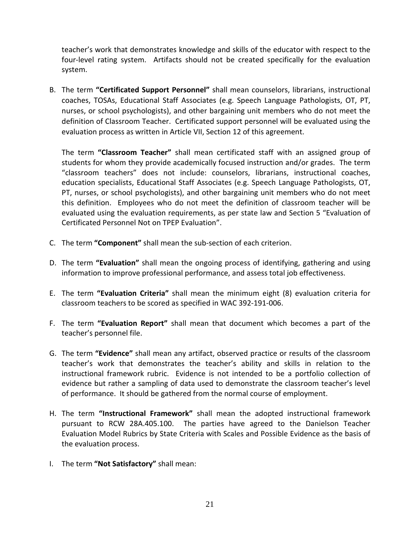teacher's work that demonstrates knowledge and skills of the educator with respect to the four-level rating system. Artifacts should not be created specifically for the evaluation system.

B. The term **"Certificated Support Personnel"** shall mean counselors, librarians, instructional coaches, TOSAs, Educational Staff Associates (e.g. Speech Language Pathologists, OT, PT, nurses, or school psychologists), and other bargaining unit members who do not meet the definition of Classroom Teacher. Certificated support personnel will be evaluated using the evaluation process as written in Article VII, Section 12 of this agreement.

The term **"Classroom Teacher"** shall mean certificated staff with an assigned group of students for whom they provide academically focused instruction and/or grades. The term "classroom teachers" does not include: counselors, librarians, instructional coaches, education specialists, Educational Staff Associates (e.g. Speech Language Pathologists, OT, PT, nurses, or school psychologists), and other bargaining unit members who do not meet this definition. Employees who do not meet the definition of classroom teacher will be evaluated using the evaluation requirements, as per state law and Section 5 "Evaluation of Certificated Personnel Not on TPEP Evaluation".

- C. The term **"Component"** shall mean the sub-section of each criterion.
- D. The term **"Evaluation"** shall mean the ongoing process of identifying, gathering and using information to improve professional performance, and assess total job effectiveness.
- E. The term **"Evaluation Criteria"** shall mean the minimum eight (8) evaluation criteria for classroom teachers to be scored as specified in WAC 392-191-006.
- F. The term **"Evaluation Report"** shall mean that document which becomes a part of the teacher's personnel file.
- G. The term **"Evidence"** shall mean any artifact, observed practice or results of the classroom teacher's work that demonstrates the teacher's ability and skills in relation to the instructional framework rubric. Evidence is not intended to be a portfolio collection of evidence but rather a sampling of data used to demonstrate the classroom teacher's level of performance. It should be gathered from the normal course of employment.
- H. The term **"Instructional Framework"** shall mean the adopted instructional framework pursuant to RCW 28A.405.100. The parties have agreed to the Danielson Teacher Evaluation Model Rubrics by State Criteria with Scales and Possible Evidence as the basis of the evaluation process.
- I. The term **"Not Satisfactory"** shall mean: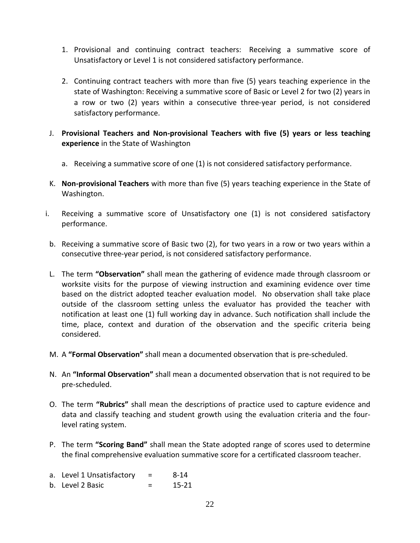- 1. Provisional and continuing contract teachers: Receiving a summative score of Unsatisfactory or Level 1 is not considered satisfactory performance.
- 2. Continuing contract teachers with more than five (5) years teaching experience in the state of Washington: Receiving a summative score of Basic or Level 2 for two (2) years in a row or two (2) years within a consecutive three-year period, is not considered satisfactory performance.
- J. **Provisional Teachers and Non-provisional Teachers with five (5) years or less teaching experience** in the State of Washington
	- a. Receiving a summative score of one (1) is not considered satisfactory performance.
- K. **Non-provisional Teachers** with more than five (5) years teaching experience in the State of Washington.
- i. Receiving a summative score of Unsatisfactory one (1) is not considered satisfactory performance.
- b. Receiving a summative score of Basic two (2), for two years in a row or two years within a consecutive three-year period, is not considered satisfactory performance.
- L. The term **"Observation"** shall mean the gathering of evidence made through classroom or worksite visits for the purpose of viewing instruction and examining evidence over time based on the district adopted teacher evaluation model. No observation shall take place outside of the classroom setting unless the evaluator has provided the teacher with notification at least one (1) full working day in advance. Such notification shall include the time, place, context and duration of the observation and the specific criteria being considered.
- M. A **"Formal Observation"** shall mean a documented observation that is pre-scheduled.
- N. An **"Informal Observation"** shall mean a documented observation that is not required to be pre-scheduled.
- O. The term **"Rubrics"** shall mean the descriptions of practice used to capture evidence and data and classify teaching and student growth using the evaluation criteria and the fourlevel rating system.
- P. The term **"Scoring Band"** shall mean the State adopted range of scores used to determine the final comprehensive evaluation summative score for a certificated classroom teacher.
- a. Level 1 Unsatisfactory  $=$  8-14
- b. Level 2 Basic  $=$  15-21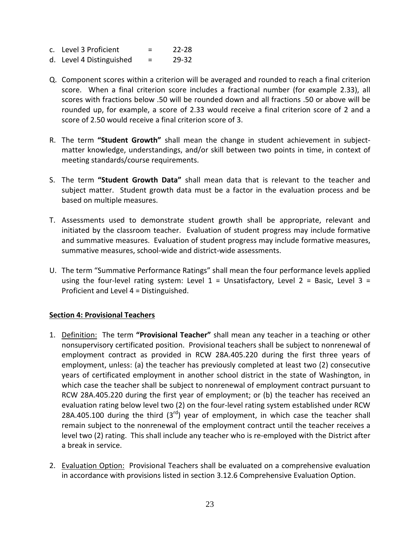| c. Level 3 Proficient |  | $22 - 28$ |
|-----------------------|--|-----------|
|-----------------------|--|-----------|

- d. Level 4 Distinguished  $=$  29-32
- Q. Component scores within a criterion will be averaged and rounded to reach a final criterion score. When a final criterion score includes a fractional number (for example 2.33), all scores with fractions below .50 will be rounded down and all fractions .50 or above will be rounded up, for example, a score of 2.33 would receive a final criterion score of 2 and a score of 2.50 would receive a final criterion score of 3.
- R. The term **"Student Growth"** shall mean the change in student achievement in subjectmatter knowledge, understandings, and/or skill between two points in time, in context of meeting standards/course requirements.
- S. The term **"Student Growth Data"** shall mean data that is relevant to the teacher and subject matter. Student growth data must be a factor in the evaluation process and be based on multiple measures.
- T. Assessments used to demonstrate student growth shall be appropriate, relevant and initiated by the classroom teacher. Evaluation of student progress may include formative and summative measures. Evaluation of student progress may include formative measures, summative measures, school-wide and district-wide assessments.
- U. The term "Summative Performance Ratings" shall mean the four performance levels applied using the four-level rating system: Level  $1 =$  Unsatisfactory, Level  $2 =$  Basic, Level  $3 =$ Proficient and Level 4 = Distinguished.

#### <span id="page-26-0"></span>**Section 4: Provisional Teachers**

- 1. Definition: The term **"Provisional Teacher"** shall mean any teacher in a teaching or other nonsupervisory certificated position. Provisional teachers shall be subject to nonrenewal of employment contract as provided in RCW 28A.405.220 during the first three years of employment, unless: (a) the teacher has previously completed at least two (2) consecutive years of certificated employment in another school district in the state of Washington, in which case the teacher shall be subject to nonrenewal of employment contract pursuant to RCW 28A.405.220 during the first year of employment; or (b) the teacher has received an evaluation rating below level two (2) on the four-level rating system established under RCW 28A.405.100 during the third  $(3^{rd})$  year of employment, in which case the teacher shall remain subject to the nonrenewal of the employment contract until the teacher receives a level two (2) rating. This shall include any teacher who is re-employed with the District after a break in service.
- 2. Evaluation Option: Provisional Teachers shall be evaluated on a comprehensive evaluation in accordance with provisions listed in section 3.12.6 Comprehensive Evaluation Option.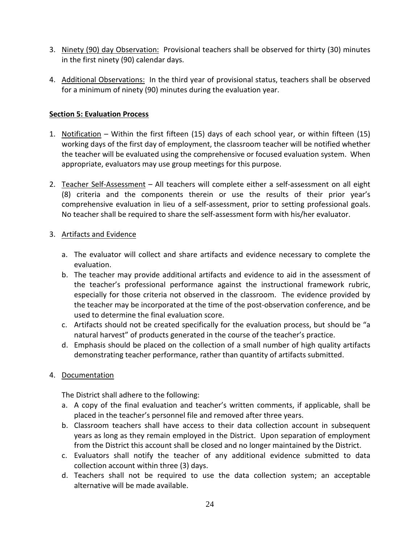- 3. Ninety (90) day Observation: Provisional teachers shall be observed for thirty (30) minutes in the first ninety (90) calendar days.
- 4. Additional Observations: In the third year of provisional status, teachers shall be observed for a minimum of ninety (90) minutes during the evaluation year.

#### <span id="page-27-0"></span>**Section 5: Evaluation Process**

- 1. Notification Within the first fifteen (15) days of each school year, or within fifteen (15) working days of the first day of employment, the classroom teacher will be notified whether the teacher will be evaluated using the comprehensive or focused evaluation system. When appropriate, evaluators may use group meetings for this purpose.
- 2. Teacher Self-Assessment All teachers will complete either a self-assessment on all eight (8) criteria and the components therein or use the results of their prior year's comprehensive evaluation in lieu of a self-assessment, prior to setting professional goals. No teacher shall be required to share the self-assessment form with his/her evaluator.

#### 3. Artifacts and Evidence

- a. The evaluator will collect and share artifacts and evidence necessary to complete the evaluation.
- b. The teacher may provide additional artifacts and evidence to aid in the assessment of the teacher's professional performance against the instructional framework rubric, especially for those criteria not observed in the classroom. The evidence provided by the teacher may be incorporated at the time of the post-observation conference, and be used to determine the final evaluation score.
- c. Artifacts should not be created specifically for the evaluation process, but should be "a natural harvest" of products generated in the course of the teacher's practice.
- d. Emphasis should be placed on the collection of a small number of high quality artifacts demonstrating teacher performance, rather than quantity of artifacts submitted.

#### 4. Documentation

The District shall adhere to the following:

- a. A copy of the final evaluation and teacher's written comments, if applicable, shall be placed in the teacher's personnel file and removed after three years.
- b. Classroom teachers shall have access to their data collection account in subsequent years as long as they remain employed in the District. Upon separation of employment from the District this account shall be closed and no longer maintained by the District.
- c. Evaluators shall notify the teacher of any additional evidence submitted to data collection account within three (3) days.
- d. Teachers shall not be required to use the data collection system; an acceptable alternative will be made available.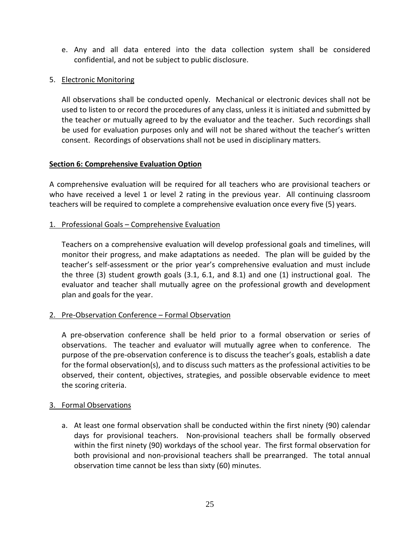- e. Any and all data entered into the data collection system shall be considered confidential, and not be subject to public disclosure.
- 5. Electronic Monitoring

All observations shall be conducted openly. Mechanical or electronic devices shall not be used to listen to or record the procedures of any class, unless it is initiated and submitted by the teacher or mutually agreed to by the evaluator and the teacher. Such recordings shall be used for evaluation purposes only and will not be shared without the teacher's written consent. Recordings of observations shall not be used in disciplinary matters.

#### <span id="page-28-0"></span>**Section 6: Comprehensive Evaluation Option**

A comprehensive evaluation will be required for all teachers who are provisional teachers or who have received a level 1 or level 2 rating in the previous year. All continuing classroom teachers will be required to complete a comprehensive evaluation once every five (5) years.

#### 1. Professional Goals – Comprehensive Evaluation

Teachers on a comprehensive evaluation will develop professional goals and timelines, will monitor their progress, and make adaptations as needed. The plan will be guided by the teacher's self-assessment or the prior year's comprehensive evaluation and must include the three (3) student growth goals (3.1, 6.1, and 8.1) and one (1) instructional goal. The evaluator and teacher shall mutually agree on the professional growth and development plan and goals for the year.

#### 2. Pre-Observation Conference – Formal Observation

A pre-observation conference shall be held prior to a formal observation or series of observations. The teacher and evaluator will mutually agree when to conference. The purpose of the pre-observation conference is to discuss the teacher's goals, establish a date for the formal observation(s), and to discuss such matters as the professional activities to be observed, their content, objectives, strategies, and possible observable evidence to meet the scoring criteria.

#### 3. Formal Observations

a. At least one formal observation shall be conducted within the first ninety (90) calendar days for provisional teachers. Non-provisional teachers shall be formally observed within the first ninety (90) workdays of the school year. The first formal observation for both provisional and non-provisional teachers shall be prearranged. The total annual observation time cannot be less than sixty (60) minutes.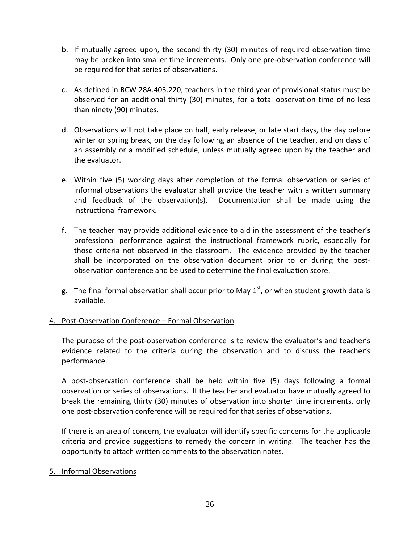- b. If mutually agreed upon, the second thirty (30) minutes of required observation time may be broken into smaller time increments. Only one pre-observation conference will be required for that series of observations.
- c. As defined in RCW 28A.405.220, teachers in the third year of provisional status must be observed for an additional thirty (30) minutes, for a total observation time of no less than ninety (90) minutes.
- d. Observations will not take place on half, early release, or late start days, the day before winter or spring break, on the day following an absence of the teacher, and on days of an assembly or a modified schedule, unless mutually agreed upon by the teacher and the evaluator.
- e. Within five (5) working days after completion of the formal observation or series of informal observations the evaluator shall provide the teacher with a written summary and feedback of the observation(s). Documentation shall be made using the instructional framework.
- f. The teacher may provide additional evidence to aid in the assessment of the teacher's professional performance against the instructional framework rubric, especially for those criteria not observed in the classroom. The evidence provided by the teacher shall be incorporated on the observation document prior to or during the postobservation conference and be used to determine the final evaluation score.
- g. The final formal observation shall occur prior to May  $1<sup>st</sup>$ , or when student growth data is available.

#### 4. Post-Observation Conference – Formal Observation

The purpose of the post-observation conference is to review the evaluator's and teacher's evidence related to the criteria during the observation and to discuss the teacher's performance.

A post-observation conference shall be held within five (5) days following a formal observation or series of observations. If the teacher and evaluator have mutually agreed to break the remaining thirty (30) minutes of observation into shorter time increments, only one post-observation conference will be required for that series of observations.

If there is an area of concern, the evaluator will identify specific concerns for the applicable criteria and provide suggestions to remedy the concern in writing. The teacher has the opportunity to attach written comments to the observation notes.

#### 5. Informal Observations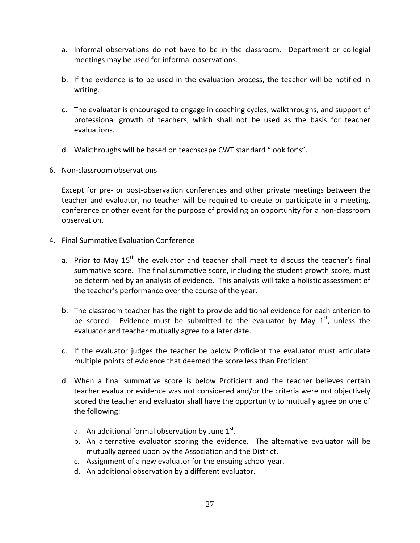- a. Informal observations do not have to be in the classroom. Department or collegial meetings may be used for informal observations.
- b. If the evidence is to be used in the evaluation process, the teacher will be notified in writing.
- c. The evaluator is encouraged to engage in coaching cycles, walkthroughs, and support of professional growth of teachers, which shall not be used as the basis for teacher evaluations.
- d. Walkthroughs will be based on teachscape CWT standard "look for's".

#### 6. Non-classroom observations

Except for pre- or post-observation conferences and other private meetings between the teacher and evaluator, no teacher will be required to create or participate in a meeting, conference or other event for the purpose of providing an opportunity for a non-classroom observation.

#### 4. Final Summative Evaluation Conference

- a. Prior to May  $15<sup>th</sup>$  the evaluator and teacher shall meet to discuss the teacher's final summative score. The final summative score, including the student growth score, must be determined by an analysis of evidence. This analysis will take a holistic assessment of the teacher's performance over the course of the year.
- b. The classroom teacher has the right to provide additional evidence for each criterion to be scored. Evidence must be submitted to the evaluator by May  $1<sup>st</sup>$ , unless the evaluator and teacher mutually agree to a later date.
- c. If the evaluator judges the teacher be below Proficient the evaluator must articulate multiple points of evidence that deemed the score less than Proficient.
- d. When a final summative score is below Proficient and the teacher believes certain teacher evaluator evidence was not considered and/or the criteria were not objectively scored the teacher and evaluator shall have the opportunity to mutually agree on one of the following:
	- a. An additional formal observation by June  $1<sup>st</sup>$ .
	- b. An alternative evaluator scoring the evidence. The alternative evaluator will be mutually agreed upon by the Association and the District.
	- c. Assignment of a new evaluator for the ensuing school year.
	- d. An additional observation by a different evaluator.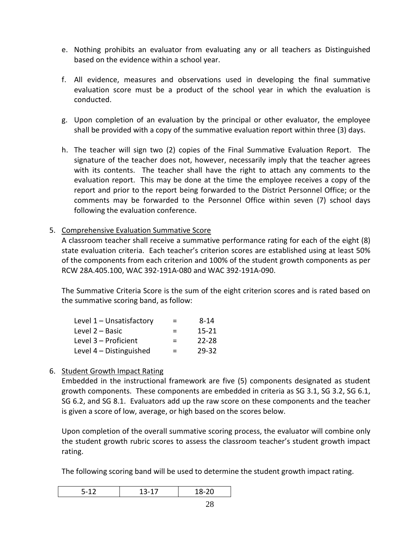- e. Nothing prohibits an evaluator from evaluating any or all teachers as Distinguished based on the evidence within a school year.
- f. All evidence, measures and observations used in developing the final summative evaluation score must be a product of the school year in which the evaluation is conducted.
- g. Upon completion of an evaluation by the principal or other evaluator, the employee shall be provided with a copy of the summative evaluation report within three (3) days.
- h. The teacher will sign two (2) copies of the Final Summative Evaluation Report. The signature of the teacher does not, however, necessarily imply that the teacher agrees with its contents. The teacher shall have the right to attach any comments to the evaluation report. This may be done at the time the employee receives a copy of the report and prior to the report being forwarded to the District Personnel Office; or the comments may be forwarded to the Personnel Office within seven (7) school days following the evaluation conference.
- 5. Comprehensive Evaluation Summative Score

A classroom teacher shall receive a summative performance rating for each of the eight (8) state evaluation criteria. Each teacher's criterion scores are established using at least 50% of the components from each criterion and 100% of the student growth components as per RCW 28A.405.100, WAC 392-191A-080 and WAC 392-191A-090.

The Summative Criteria Score is the sum of the eight criterion scores and is rated based on the summative scoring band, as follow:

| $\equiv$ | 8-14      |
|----------|-----------|
| $=$      | $15 - 21$ |
| ⋍        | $22 - 28$ |
| $=$      | 29-32     |
|          |           |

#### 6. Student Growth Impact Rating

Embedded in the instructional framework are five (5) components designated as student growth components. These components are embedded in criteria as SG 3.1, SG 3.2, SG 6.1, SG 6.2, and SG 8.1. Evaluators add up the raw score on these components and the teacher is given a score of low, average, or high based on the scores below.

Upon completion of the overall summative scoring process, the evaluator will combine only the student growth rubric scores to assess the classroom teacher's student growth impact rating.

The following scoring band will be used to determine the student growth impact rating.

| $\sim$ | __ |
|--------|----|
|        |    |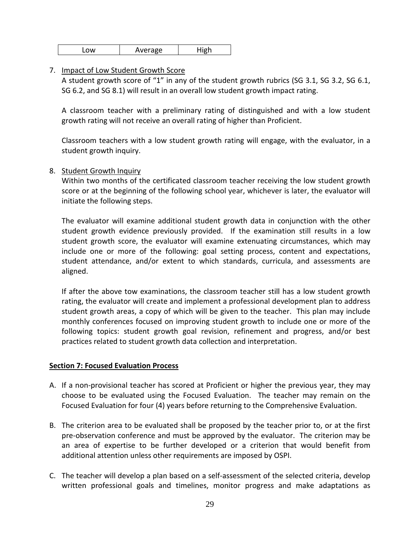| -0W | Average | High |
|-----|---------|------|
|-----|---------|------|

#### 7. Impact of Low Student Growth Score

A student growth score of "1" in any of the student growth rubrics (SG 3.1, SG 3.2, SG 6.1, SG 6.2, and SG 8.1) will result in an overall low student growth impact rating.

A classroom teacher with a preliminary rating of distinguished and with a low student growth rating will not receive an overall rating of higher than Proficient.

Classroom teachers with a low student growth rating will engage, with the evaluator, in a student growth inquiry.

#### 8. Student Growth Inquiry

Within two months of the certificated classroom teacher receiving the low student growth score or at the beginning of the following school year, whichever is later, the evaluator will initiate the following steps.

The evaluator will examine additional student growth data in conjunction with the other student growth evidence previously provided. If the examination still results in a low student growth score, the evaluator will examine extenuating circumstances, which may include one or more of the following: goal setting process, content and expectations, student attendance, and/or extent to which standards, curricula, and assessments are aligned.

If after the above tow examinations, the classroom teacher still has a low student growth rating, the evaluator will create and implement a professional development plan to address student growth areas, a copy of which will be given to the teacher. This plan may include monthly conferences focused on improving student growth to include one or more of the following topics: student growth goal revision, refinement and progress, and/or best practices related to student growth data collection and interpretation.

#### <span id="page-32-0"></span>**Section 7: Focused Evaluation Process**

- A. If a non-provisional teacher has scored at Proficient or higher the previous year, they may choose to be evaluated using the Focused Evaluation. The teacher may remain on the Focused Evaluation for four (4) years before returning to the Comprehensive Evaluation.
- B. The criterion area to be evaluated shall be proposed by the teacher prior to, or at the first pre-observation conference and must be approved by the evaluator. The criterion may be an area of expertise to be further developed or a criterion that would benefit from additional attention unless other requirements are imposed by OSPI.
- C. The teacher will develop a plan based on a self-assessment of the selected criteria, develop written professional goals and timelines, monitor progress and make adaptations as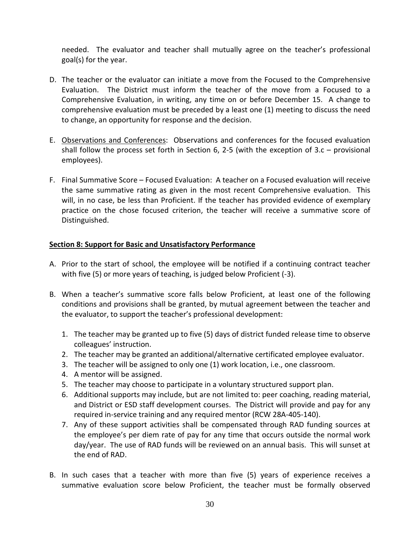needed. The evaluator and teacher shall mutually agree on the teacher's professional goal(s) for the year.

- D. The teacher or the evaluator can initiate a move from the Focused to the Comprehensive Evaluation. The District must inform the teacher of the move from a Focused to a Comprehensive Evaluation, in writing, any time on or before December 15. A change to comprehensive evaluation must be preceded by a least one (1) meeting to discuss the need to change, an opportunity for response and the decision.
- E. Observations and Conferences: Observations and conferences for the focused evaluation shall follow the process set forth in Section 6, 2-5 (with the exception of 3.c – provisional employees).
- F. Final Summative Score Focused Evaluation: A teacher on a Focused evaluation will receive the same summative rating as given in the most recent Comprehensive evaluation. This will, in no case, be less than Proficient. If the teacher has provided evidence of exemplary practice on the chose focused criterion, the teacher will receive a summative score of Distinguished.

#### <span id="page-33-0"></span>**Section 8: Support for Basic and Unsatisfactory Performance**

- A. Prior to the start of school, the employee will be notified if a continuing contract teacher with five (5) or more years of teaching, is judged below Proficient (-3).
- B. When a teacher's summative score falls below Proficient, at least one of the following conditions and provisions shall be granted, by mutual agreement between the teacher and the evaluator, to support the teacher's professional development:
	- 1. The teacher may be granted up to five (5) days of district funded release time to observe colleagues' instruction.
	- 2. The teacher may be granted an additional/alternative certificated employee evaluator.
	- 3. The teacher will be assigned to only one (1) work location, i.e., one classroom.
	- 4. A mentor will be assigned.
	- 5. The teacher may choose to participate in a voluntary structured support plan.
	- 6. Additional supports may include, but are not limited to: peer coaching, reading material, and District or ESD staff development courses. The District will provide and pay for any required in-service training and any required mentor (RCW 28A-405-140).
	- 7. Any of these support activities shall be compensated through RAD funding sources at the employee's per diem rate of pay for any time that occurs outside the normal work day/year. The use of RAD funds will be reviewed on an annual basis. This will sunset at the end of RAD.
- B. In such cases that a teacher with more than five (5) years of experience receives a summative evaluation score below Proficient, the teacher must be formally observed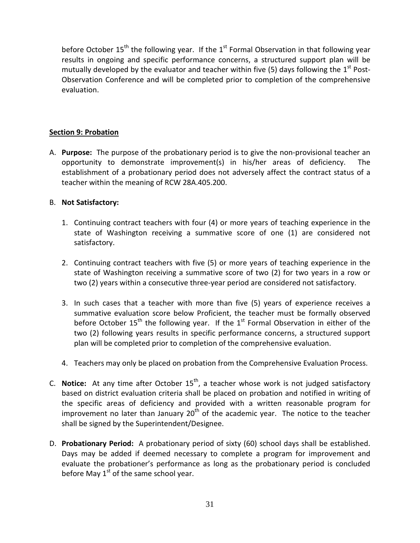before October 15<sup>th</sup> the following year. If the 1<sup>st</sup> Formal Observation in that following year results in ongoing and specific performance concerns, a structured support plan will be mutually developed by the evaluator and teacher within five (5) days following the  $1<sup>st</sup>$  Post-Observation Conference and will be completed prior to completion of the comprehensive evaluation.

#### <span id="page-34-0"></span>**Section 9: Probation**

A. **Purpose:** The purpose of the probationary period is to give the non-provisional teacher an opportunity to demonstrate improvement(s) in his/her areas of deficiency. The establishment of a probationary period does not adversely affect the contract status of a teacher within the meaning of RCW 28A.405.200.

#### B. **Not Satisfactory:**

- 1. Continuing contract teachers with four (4) or more years of teaching experience in the state of Washington receiving a summative score of one (1) are considered not satisfactory.
- 2. Continuing contract teachers with five (5) or more years of teaching experience in the state of Washington receiving a summative score of two (2) for two years in a row or two (2) years within a consecutive three-year period are considered not satisfactory.
- 3. In such cases that a teacher with more than five (5) years of experience receives a summative evaluation score below Proficient, the teacher must be formally observed before October 15<sup>th</sup> the following year. If the 1<sup>st</sup> Formal Observation in either of the two (2) following years results in specific performance concerns, a structured support plan will be completed prior to completion of the comprehensive evaluation.
- 4. Teachers may only be placed on probation from the Comprehensive Evaluation Process.
- C. **Notice:** At any time after October 15<sup>th</sup>, a teacher whose work is not judged satisfactory based on district evaluation criteria shall be placed on probation and notified in writing of the specific areas of deficiency and provided with a written reasonable program for improvement no later than January  $20<sup>th</sup>$  of the academic year. The notice to the teacher shall be signed by the Superintendent/Designee.
- D. **Probationary Period:** A probationary period of sixty (60) school days shall be established. Days may be added if deemed necessary to complete a program for improvement and evaluate the probationer's performance as long as the probationary period is concluded before May  $1<sup>st</sup>$  of the same school year.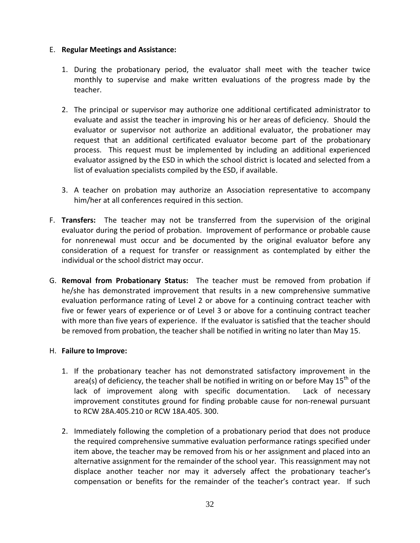#### E. **Regular Meetings and Assistance:**

- 1. During the probationary period, the evaluator shall meet with the teacher twice monthly to supervise and make written evaluations of the progress made by the teacher.
- 2. The principal or supervisor may authorize one additional certificated administrator to evaluate and assist the teacher in improving his or her areas of deficiency. Should the evaluator or supervisor not authorize an additional evaluator, the probationer may request that an additional certificated evaluator become part of the probationary process. This request must be implemented by including an additional experienced evaluator assigned by the ESD in which the school district is located and selected from a list of evaluation specialists compiled by the ESD, if available.
- 3. A teacher on probation may authorize an Association representative to accompany him/her at all conferences required in this section.
- F. **Transfers:** The teacher may not be transferred from the supervision of the original evaluator during the period of probation. Improvement of performance or probable cause for nonrenewal must occur and be documented by the original evaluator before any consideration of a request for transfer or reassignment as contemplated by either the individual or the school district may occur.
- G. **Removal from Probationary Status:** The teacher must be removed from probation if he/she has demonstrated improvement that results in a new comprehensive summative evaluation performance rating of Level 2 or above for a continuing contract teacher with five or fewer years of experience or of Level 3 or above for a continuing contract teacher with more than five years of experience. If the evaluator is satisfied that the teacher should be removed from probation, the teacher shall be notified in writing no later than May 15.

#### H. **Failure to Improve:**

- 1. If the probationary teacher has not demonstrated satisfactory improvement in the area(s) of deficiency, the teacher shall be notified in writing on or before May  $15<sup>th</sup>$  of the lack of improvement along with specific documentation. Lack of necessary improvement constitutes ground for finding probable cause for non-renewal pursuant to RCW 28A.405.210 or RCW 18A.405. 300.
- 2. Immediately following the completion of a probationary period that does not produce the required comprehensive summative evaluation performance ratings specified under item above, the teacher may be removed from his or her assignment and placed into an alternative assignment for the remainder of the school year. This reassignment may not displace another teacher nor may it adversely affect the probationary teacher's compensation or benefits for the remainder of the teacher's contract year. If such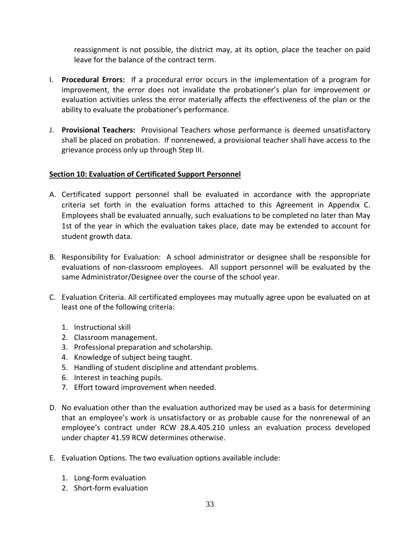reassignment is not possible, the district may, at its option, place the teacher on paid leave for the balance of the contract term.

- I. **Procedural Errors:** If a procedural error occurs in the implementation of a program for improvement, the error does not invalidate the probationer's plan for improvement or evaluation activities unless the error materially affects the effectiveness of the plan or the ability to evaluate the probationer's performance.
- J. **Provisional Teachers:** Provisional Teachers whose performance is deemed unsatisfactory shall be placed on probation. If nonrenewed, a provisional teacher shall have access to the grievance process only up through Step III.

#### <span id="page-36-0"></span>**Section 10: Evaluation of Certificated Support Personnel**

- A. Certificated support personnel shall be evaluated in accordance with the appropriate criteria set forth in the evaluation forms attached to this Agreement in Appendix C. Employees shall be evaluated annually, such evaluations to be completed no later than May 1st of the year in which the evaluation takes place, date may be extended to account for student growth data.
- B. Responsibility for Evaluation: A school administrator or designee shall be responsible for evaluations of non-classroom employees. All support personnel will be evaluated by the same Administrator/Designee over the course of the school year.
- C. Evaluation Criteria. All certificated employees may mutually agree upon be evaluated on at least one of the following criteria:
	- 1. Instructional skill
	- 2. Classroom management.
	- 3. Professional preparation and scholarship.
	- 4. Knowledge of subject being taught.
	- 5. Handling of student discipline and attendant problems.
	- 6. Interest in teaching pupils.
	- 7. Effort toward improvement when needed.
- D. No evaluation other than the evaluation authorized may be used as a basis for determining that an employee's work is unsatisfactory or as probable cause for the nonrenewal of an employee's contract under RCW 28.A.405.210 unless an evaluation process developed under chapter 41.59 RCW determines otherwise.
- E. Evaluation Options. The two evaluation options available include:
	- 1. Long-form evaluation
	- 2. Short-form evaluation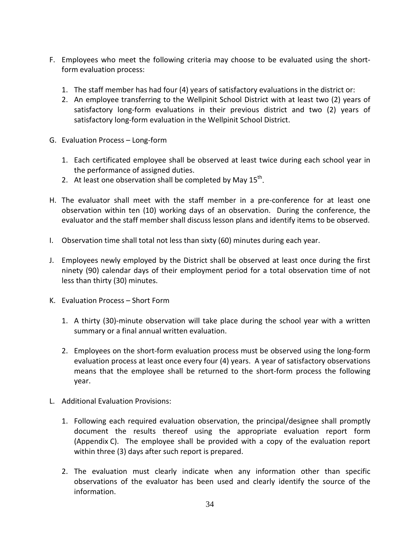- F. Employees who meet the following criteria may choose to be evaluated using the shortform evaluation process:
	- 1. The staff member has had four (4) years of satisfactory evaluations in the district or:
	- 2. An employee transferring to the Wellpinit School District with at least two (2) years of satisfactory long-form evaluations in their previous district and two (2) years of satisfactory long-form evaluation in the Wellpinit School District.
- G. Evaluation Process Long-form
	- 1. Each certificated employee shall be observed at least twice during each school year in the performance of assigned duties.
	- 2. At least one observation shall be completed by May  $15^{th}$ .
- H. The evaluator shall meet with the staff member in a pre-conference for at least one observation within ten (10) working days of an observation. During the conference, the evaluator and the staff member shall discuss lesson plans and identify items to be observed.
- I. Observation time shall total not less than sixty (60) minutes during each year.
- J. Employees newly employed by the District shall be observed at least once during the first ninety (90) calendar days of their employment period for a total observation time of not less than thirty (30) minutes.
- K. Evaluation Process Short Form
	- 1. A thirty (30)-minute observation will take place during the school year with a written summary or a final annual written evaluation.
	- 2. Employees on the short-form evaluation process must be observed using the long-form evaluation process at least once every four (4) years. A year of satisfactory observations means that the employee shall be returned to the short-form process the following year.
- L. Additional Evaluation Provisions:
	- 1. Following each required evaluation observation, the principal/designee shall promptly document the results thereof using the appropriate evaluation report form (Appendix C). The employee shall be provided with a copy of the evaluation report within three (3) days after such report is prepared.
	- 2. The evaluation must clearly indicate when any information other than specific observations of the evaluator has been used and clearly identify the source of the information.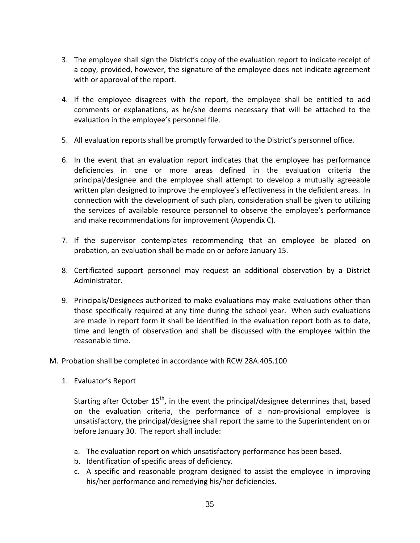- 3. The employee shall sign the District's copy of the evaluation report to indicate receipt of a copy, provided, however, the signature of the employee does not indicate agreement with or approval of the report.
- 4. If the employee disagrees with the report, the employee shall be entitled to add comments or explanations, as he/she deems necessary that will be attached to the evaluation in the employee's personnel file.
- 5. All evaluation reports shall be promptly forwarded to the District's personnel office.
- 6. In the event that an evaluation report indicates that the employee has performance deficiencies in one or more areas defined in the evaluation criteria the principal/designee and the employee shall attempt to develop a mutually agreeable written plan designed to improve the employee's effectiveness in the deficient areas. In connection with the development of such plan, consideration shall be given to utilizing the services of available resource personnel to observe the employee's performance and make recommendations for improvement (Appendix C).
- 7. If the supervisor contemplates recommending that an employee be placed on probation, an evaluation shall be made on or before January 15.
- 8. Certificated support personnel may request an additional observation by a District Administrator.
- 9. Principals/Designees authorized to make evaluations may make evaluations other than those specifically required at any time during the school year. When such evaluations are made in report form it shall be identified in the evaluation report both as to date, time and length of observation and shall be discussed with the employee within the reasonable time.
- M. Probation shall be completed in accordance with RCW 28A.405.100
	- 1. Evaluator's Report

Starting after October  $15<sup>th</sup>$ , in the event the principal/designee determines that, based on the evaluation criteria, the performance of a non-provisional employee is unsatisfactory, the principal/designee shall report the same to the Superintendent on or before January 30. The report shall include:

- a. The evaluation report on which unsatisfactory performance has been based.
- b. Identification of specific areas of deficiency.
- c. A specific and reasonable program designed to assist the employee in improving his/her performance and remedying his/her deficiencies.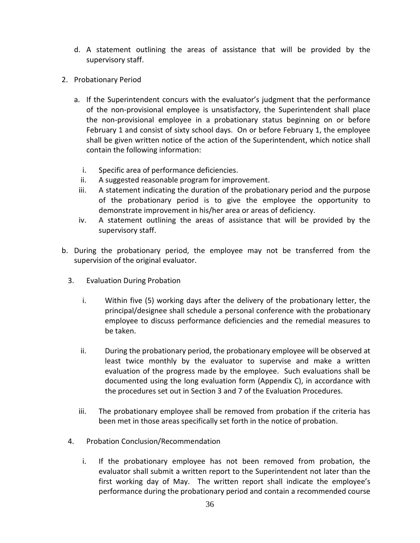- d. A statement outlining the areas of assistance that will be provided by the supervisory staff.
- 2. Probationary Period
	- a. If the Superintendent concurs with the evaluator's judgment that the performance of the non-provisional employee is unsatisfactory, the Superintendent shall place the non-provisional employee in a probationary status beginning on or before February 1 and consist of sixty school days. On or before February 1, the employee shall be given written notice of the action of the Superintendent, which notice shall contain the following information:
		- i. Specific area of performance deficiencies.
		- ii. A suggested reasonable program for improvement.
		- iii. A statement indicating the duration of the probationary period and the purpose of the probationary period is to give the employee the opportunity to demonstrate improvement in his/her area or areas of deficiency.
		- iv. A statement outlining the areas of assistance that will be provided by the supervisory staff.
- b. During the probationary period, the employee may not be transferred from the supervision of the original evaluator.
	- 3. Evaluation During Probation
		- i. Within five (5) working days after the delivery of the probationary letter, the principal/designee shall schedule a personal conference with the probationary employee to discuss performance deficiencies and the remedial measures to be taken.
		- ii. During the probationary period, the probationary employee will be observed at least twice monthly by the evaluator to supervise and make a written evaluation of the progress made by the employee. Such evaluations shall be documented using the long evaluation form (Appendix C), in accordance with the procedures set out in Section 3 and 7 of the Evaluation Procedures.
		- iii. The probationary employee shall be removed from probation if the criteria has been met in those areas specifically set forth in the notice of probation.
	- 4. Probation Conclusion/Recommendation
		- i. If the probationary employee has not been removed from probation, the evaluator shall submit a written report to the Superintendent not later than the first working day of May. The written report shall indicate the employee's performance during the probationary period and contain a recommended course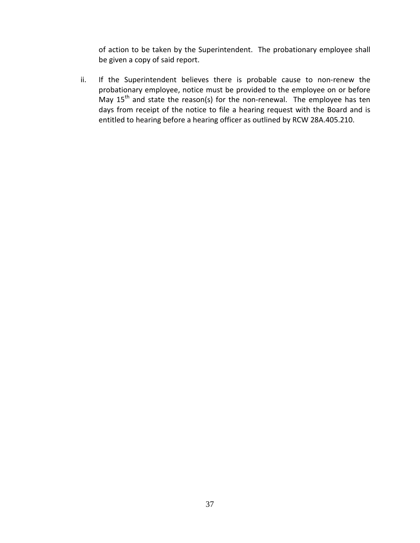of action to be taken by the Superintendent. The probationary employee shall be given a copy of said report.

ii. If the Superintendent believes there is probable cause to non-renew the probationary employee, notice must be provided to the employee on or before May  $15<sup>th</sup>$  and state the reason(s) for the non-renewal. The employee has ten days from receipt of the notice to file a hearing request with the Board and is entitled to hearing before a hearing officer as outlined by RCW 28A.405.210.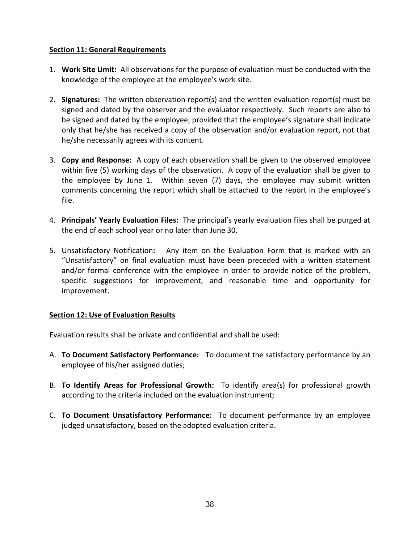#### <span id="page-41-0"></span>**Section 11: General Requirements**

- 1. **Work Site Limit:** All observations for the purpose of evaluation must be conducted with the knowledge of the employee at the employee's work site.
- 2. **Signatures:** The written observation report(s) and the written evaluation report(s) must be signed and dated by the observer and the evaluator respectively. Such reports are also to be signed and dated by the employee, provided that the employee's signature shall indicate only that he/she has received a copy of the observation and/or evaluation report, not that he/she necessarily agrees with its content.
- 3. **Copy and Response:** A copy of each observation shall be given to the observed employee within five (5) working days of the observation. A copy of the evaluation shall be given to the employee by June 1. Within seven (7) days, the employee may submit written comments concerning the report which shall be attached to the report in the employee's file.
- 4. **Principals' Yearly Evaluation Files:** The principal's yearly evaluation files shall be purged at the end of each school year or no later than June 30.
- 5. Unsatisfactory Notification**:** Any item on the Evaluation Form that is marked with an "Unsatisfactory" on final evaluation must have been preceded with a written statement and/or formal conference with the employee in order to provide notice of the problem, specific suggestions for improvement, and reasonable time and opportunity for improvement.

#### <span id="page-41-1"></span>**Section 12: Use of Evaluation Results**

Evaluation results shall be private and confidential and shall be used:

- A. **To Document Satisfactory Performance:** To document the satisfactory performance by an employee of his/her assigned duties;
- B. **To Identify Areas for Professional Growth:** To identify area(s) for professional growth according to the criteria included on the evaluation instrument;
- C. **To Document Unsatisfactory Performance:** To document performance by an employee judged unsatisfactory, based on the adopted evaluation criteria.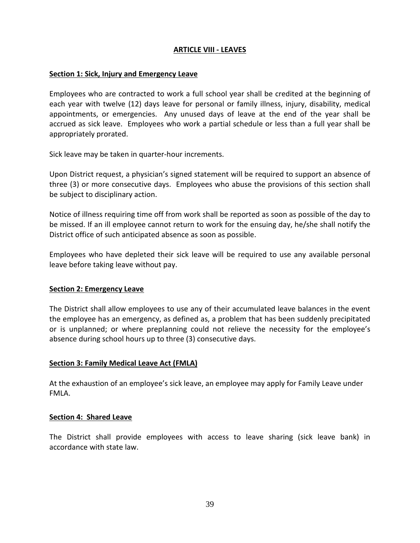#### **ARTICLE VIII - LEAVES**

#### <span id="page-42-1"></span><span id="page-42-0"></span>**Section 1: Sick, Injury and Emergency Leave**

Employees who are contracted to work a full school year shall be credited at the beginning of each year with twelve (12) days leave for personal or family illness, injury, disability, medical appointments, or emergencies. Any unused days of leave at the end of the year shall be accrued as sick leave. Employees who work a partial schedule or less than a full year shall be appropriately prorated.

Sick leave may be taken in quarter-hour increments.

Upon District request, a physician's signed statement will be required to support an absence of three (3) or more consecutive days. Employees who abuse the provisions of this section shall be subject to disciplinary action.

Notice of illness requiring time off from work shall be reported as soon as possible of the day to be missed. If an ill employee cannot return to work for the ensuing day, he/she shall notify the District office of such anticipated absence as soon as possible.

Employees who have depleted their sick leave will be required to use any available personal leave before taking leave without pay.

#### <span id="page-42-2"></span>**Section 2: Emergency Leave**

The District shall allow employees to use any of their accumulated leave balances in the event the employee has an emergency, as defined as, a problem that has been suddenly precipitated or is unplanned; or where preplanning could not relieve the necessity for the employee's absence during school hours up to three (3) consecutive days.

#### <span id="page-42-3"></span>**Section 3: Family Medical Leave Act (FMLA)**

At the exhaustion of an employee's sick leave, an employee may apply for Family Leave under FMLA.

#### <span id="page-42-4"></span>**Section 4: Shared Leave**

The District shall provide employees with access to leave sharing (sick leave bank) in accordance with state law.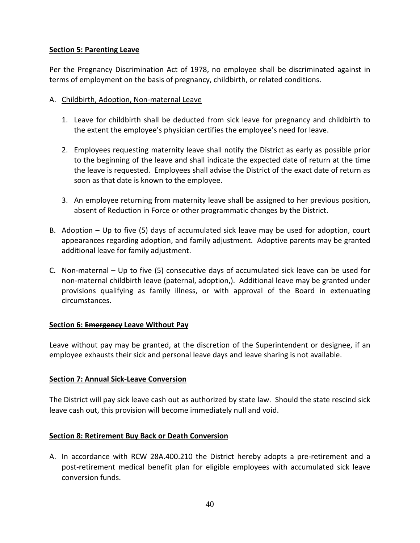#### <span id="page-43-0"></span>**Section 5: Parenting Leave**

Per the Pregnancy Discrimination Act of 1978, no employee shall be discriminated against in terms of employment on the basis of pregnancy, childbirth, or related conditions.

#### A. Childbirth, Adoption, Non-maternal Leave

- 1. Leave for childbirth shall be deducted from sick leave for pregnancy and childbirth to the extent the employee's physician certifies the employee's need for leave.
- 2. Employees requesting maternity leave shall notify the District as early as possible prior to the beginning of the leave and shall indicate the expected date of return at the time the leave is requested. Employees shall advise the District of the exact date of return as soon as that date is known to the employee.
- 3. An employee returning from maternity leave shall be assigned to her previous position, absent of Reduction in Force or other programmatic changes by the District.
- B. Adoption Up to five (5) days of accumulated sick leave may be used for adoption, court appearances regarding adoption, and family adjustment. Adoptive parents may be granted additional leave for family adjustment.
- C. Non-maternal Up to five (5) consecutive days of accumulated sick leave can be used for non-maternal childbirth leave (paternal, adoption,). Additional leave may be granted under provisions qualifying as family illness, or with approval of the Board in extenuating circumstances.

#### <span id="page-43-1"></span>**Section 6: Emergency Leave Without Pay**

Leave without pay may be granted, at the discretion of the Superintendent or designee, if an employee exhausts their sick and personal leave days and leave sharing is not available.

#### <span id="page-43-2"></span>**Section 7: Annual Sick-Leave Conversion**

The District will pay sick leave cash out as authorized by state law. Should the state rescind sick leave cash out, this provision will become immediately null and void.

#### <span id="page-43-3"></span>**Section 8: Retirement Buy Back or Death Conversion**

A. In accordance with RCW 28A.400.210 the District hereby adopts a pre-retirement and a post-retirement medical benefit plan for eligible employees with accumulated sick leave conversion funds.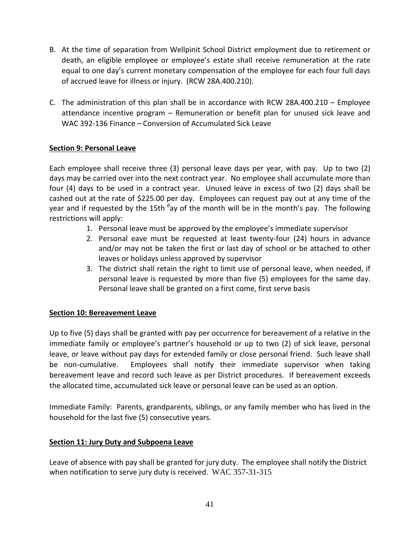- B. At the time of separation from Wellpinit School District employment due to retirement or death, an eligible employee or employee's estate shall receive remuneration at the rate equal to one day's current monetary compensation of the employee for each four full days of accrued leave for illness or injury. (RCW 28A.400.210).
- C. The administration of this plan shall be in accordance with RCW 28A.400.210 Employee attendance incentive program – Remuneration or benefit plan for unused sick leave and WAC 392-136 Finance – Conversion of Accumulated Sick Leave

#### <span id="page-44-0"></span>**Section 9: Personal Leave**

Each employee shall receive three (3) personal leave days per year, with pay. Up to two (2) days may be carried over into the next contract year. No employee shall accumulate more than four (4) days to be used in a contract year. Unused leave in excess of two (2) days shall be cashed out at the rate of \$225.00 per day. Employees can request pay out at any time of the year and if requested by the 15th <sup>d</sup>ay of the month will be in the month's pay. The following restrictions will apply:

- 1. Personal leave must be approved by the employee's immediate supervisor
- 2. Personal eave must be requested at least twenty-four (24) hours in advance and/or may not be taken the first or last day of school or be attached to other leaves or holidays unless approved by supervisor
- 3. The district shall retain the right to limit use of personal leave, when needed, if personal leave is requested by more than five (5) employees for the same day. Personal leave shall be granted on a first come, first serve basis

#### <span id="page-44-1"></span>**Section 10: Bereavement Leave**

Up to five (5) days shall be granted with pay per occurrence for bereavement of a relative in the immediate family or employee's partner's household or up to two (2) of sick leave, personal leave, or leave without pay days for extended family or close personal friend. Such leave shall be non-cumulative. Employees shall notify their immediate supervisor when taking bereavement leave and record such leave as per District procedures. If bereavement exceeds the allocated time, accumulated sick leave or personal leave can be used as an option.

Immediate Family: Parents, grandparents, siblings, or any family member who has lived in the household for the last five (5) consecutive years.

#### <span id="page-44-2"></span>**Section 11: Jury Duty and Subpoena Leave**

Leave of absence with pay shall be granted for jury duty. The employee shall notify the District when notification to serve jury duty is received.WAC 357-31-315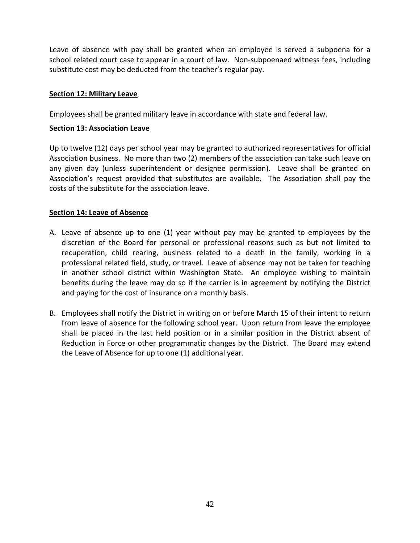Leave of absence with pay shall be granted when an employee is served a subpoena for a school related court case to appear in a court of law. Non-subpoenaed witness fees, including substitute cost may be deducted from the teacher's regular pay.

#### <span id="page-45-0"></span>**Section 12: Military Leave**

Employees shall be granted military leave in accordance with state and federal law.

#### <span id="page-45-1"></span>**Section 13: Association Leave**

Up to twelve (12) days per school year may be granted to authorized representatives for official Association business. No more than two (2) members of the association can take such leave on any given day (unless superintendent or designee permission). Leave shall be granted on Association's request provided that substitutes are available. The Association shall pay the costs of the substitute for the association leave.

#### <span id="page-45-2"></span>**Section 14: Leave of Absence**

- A. Leave of absence up to one (1) year without pay may be granted to employees by the discretion of the Board for personal or professional reasons such as but not limited to recuperation, child rearing, business related to a death in the family, working in a professional related field, study, or travel. Leave of absence may not be taken for teaching in another school district within Washington State. An employee wishing to maintain benefits during the leave may do so if the carrier is in agreement by notifying the District and paying for the cost of insurance on a monthly basis.
- B. Employees shall notify the District in writing on or before March 15 of their intent to return from leave of absence for the following school year. Upon return from leave the employee shall be placed in the last held position or in a similar position in the District absent of Reduction in Force or other programmatic changes by the District. The Board may extend the Leave of Absence for up to one (1) additional year.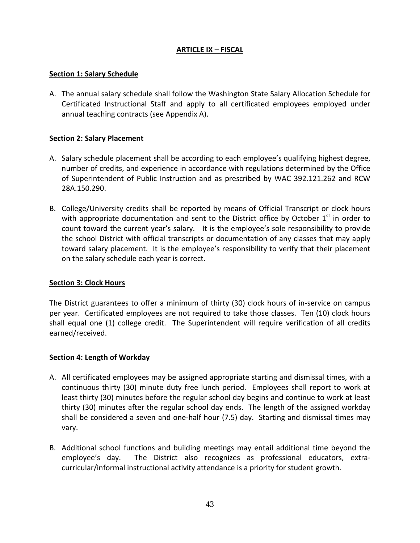#### **ARTICLE IX – FISCAL**

#### <span id="page-46-1"></span><span id="page-46-0"></span>**Section 1: Salary Schedule**

A. The annual salary schedule shall follow the Washington State Salary Allocation Schedule for Certificated Instructional Staff and apply to all certificated employees employed under annual teaching contracts (see Appendix A).

#### <span id="page-46-2"></span>**Section 2: Salary Placement**

- A. Salary schedule placement shall be according to each employee's qualifying highest degree, number of credits, and experience in accordance with regulations determined by the Office of Superintendent of Public Instruction and as prescribed by WAC 392.121.262 and RCW 28A.150.290.
- B. College/University credits shall be reported by means of Official Transcript or clock hours with appropriate documentation and sent to the District office by October  $1<sup>st</sup>$  in order to count toward the current year's salary. It is the employee's sole responsibility to provide the school District with official transcripts or documentation of any classes that may apply toward salary placement. It is the employee's responsibility to verify that their placement on the salary schedule each year is correct.

#### <span id="page-46-3"></span>**Section 3: Clock Hours**

The District guarantees to offer a minimum of thirty (30) clock hours of in-service on campus per year. Certificated employees are not required to take those classes. Ten (10) clock hours shall equal one (1) college credit. The Superintendent will require verification of all credits earned/received.

#### <span id="page-46-4"></span>**Section 4: Length of Workday**

- A. All certificated employees may be assigned appropriate starting and dismissal times, with a continuous thirty (30) minute duty free lunch period. Employees shall report to work at least thirty (30) minutes before the regular school day begins and continue to work at least thirty (30) minutes after the regular school day ends. The length of the assigned workday shall be considered a seven and one-half hour (7.5) day. Starting and dismissal times may vary.
- B. Additional school functions and building meetings may entail additional time beyond the employee's day. The District also recognizes as professional educators, extracurricular/informal instructional activity attendance is a priority for student growth.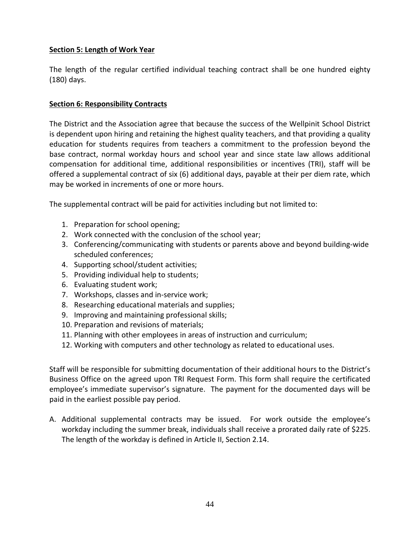#### <span id="page-47-0"></span>**Section 5: Length of Work Year**

The length of the regular certified individual teaching contract shall be one hundred eighty (180) days.

#### <span id="page-47-1"></span>**Section 6: Responsibility Contracts**

The District and the Association agree that because the success of the Wellpinit School District is dependent upon hiring and retaining the highest quality teachers, and that providing a quality education for students requires from teachers a commitment to the profession beyond the base contract, normal workday hours and school year and since state law allows additional compensation for additional time, additional responsibilities or incentives (TRI), staff will be offered a supplemental contract of six (6) additional days, payable at their per diem rate, which may be worked in increments of one or more hours.

The supplemental contract will be paid for activities including but not limited to:

- 1. Preparation for school opening;
- 2. Work connected with the conclusion of the school year;
- 3. Conferencing/communicating with students or parents above and beyond building-wide scheduled conferences;
- 4. Supporting school/student activities;
- 5. Providing individual help to students;
- 6. Evaluating student work;
- 7. Workshops, classes and in-service work;
- 8. Researching educational materials and supplies;
- 9. Improving and maintaining professional skills;
- 10. Preparation and revisions of materials;
- 11. Planning with other employees in areas of instruction and curriculum;
- 12. Working with computers and other technology as related to educational uses.

Staff will be responsible for submitting documentation of their additional hours to the District's Business Office on the agreed upon TRI Request Form. This form shall require the certificated employee's immediate supervisor's signature. The payment for the documented days will be paid in the earliest possible pay period.

A. Additional supplemental contracts may be issued. For work outside the employee's workday including the summer break, individuals shall receive a prorated daily rate of \$225. The length of the workday is defined in Article II, Section 2.14.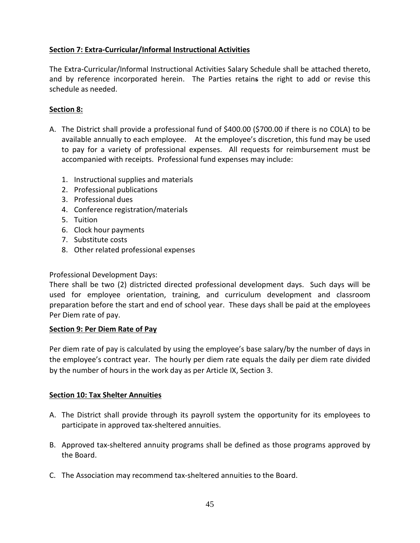#### <span id="page-48-0"></span>**Section 7: Extra-Curricular/Informal Instructional Activities**

The Extra-Curricular/Informal Instructional Activities Salary Schedule shall be attached thereto, and by reference incorporated herein. The Parties retains the right to add or revise this schedule as needed.

#### **Section 8:**

- A. The District shall provide a professional fund of \$400.00 (\$700.00 if there is no COLA) to be available annually to each employee. At the employee's discretion, this fund may be used to pay for a variety of professional expenses. All requests for reimbursement must be accompanied with receipts. Professional fund expenses may include:
	- 1. Instructional supplies and materials
	- 2. Professional publications
	- 3. Professional dues
	- 4. Conference registration/materials
	- 5. Tuition
	- 6. Clock hour payments
	- 7. Substitute costs
	- 8. Other related professional expenses

#### Professional Development Days:

There shall be two (2) districted directed professional development days. Such days will be used for employee orientation, training, and curriculum development and classroom preparation before the start and end of school year. These days shall be paid at the employees Per Diem rate of pay.

#### <span id="page-48-1"></span>**Section 9: Per Diem Rate of Pay**

Per diem rate of pay is calculated by using the employee's base salary/by the number of days in the employee's contract year. The hourly per diem rate equals the daily per diem rate divided by the number of hours in the work day as per Article IX, Section 3.

#### <span id="page-48-2"></span>**Section 10: Tax Shelter Annuities**

- A. The District shall provide through its payroll system the opportunity for its employees to participate in approved tax-sheltered annuities.
- B. Approved tax-sheltered annuity programs shall be defined as those programs approved by the Board.
- C. The Association may recommend tax-sheltered annuities to the Board.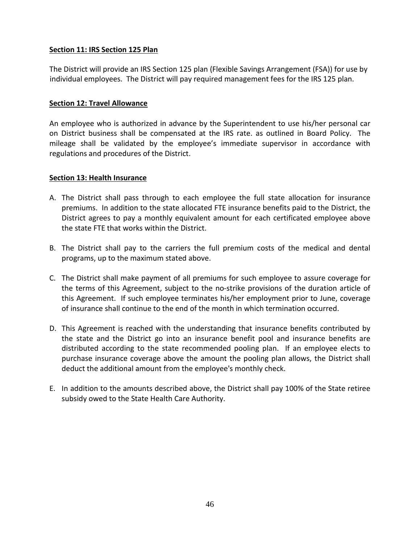#### <span id="page-49-0"></span>**Section 11: IRS Section 125 Plan**

The District will provide an IRS Section 125 plan (Flexible Savings Arrangement (FSA)) for use by individual employees. The District will pay required management fees for the IRS 125 plan.

#### <span id="page-49-1"></span>**Section 12: Travel Allowance**

An employee who is authorized in advance by the Superintendent to use his/her personal car on District business shall be compensated at the IRS rate. as outlined in Board Policy. The mileage shall be validated by the employee's immediate supervisor in accordance with regulations and procedures of the District.

#### <span id="page-49-2"></span>**Section 13: Health Insurance**

- A. The District shall pass through to each employee the full state allocation for insurance premiums. In addition to the state allocated FTE insurance benefits paid to the District, the District agrees to pay a monthly equivalent amount for each certificated employee above the state FTE that works within the District.
- B. The District shall pay to the carriers the full premium costs of the medical and dental programs, up to the maximum stated above.
- C. The District shall make payment of all premiums for such employee to assure coverage for the terms of this Agreement, subject to the no-strike provisions of the duration article of this Agreement. If such employee terminates his/her employment prior to June, coverage of insurance shall continue to the end of the month in which termination occurred.
- D. This Agreement is reached with the understanding that insurance benefits contributed by the state and the District go into an insurance benefit pool and insurance benefits are distributed according to the state recommended pooling plan. If an employee elects to purchase insurance coverage above the amount the pooling plan allows, the District shall deduct the additional amount from the employee's monthly check.
- E. In addition to the amounts described above, the District shall pay 100% of the State retiree subsidy owed to the State Health Care Authority.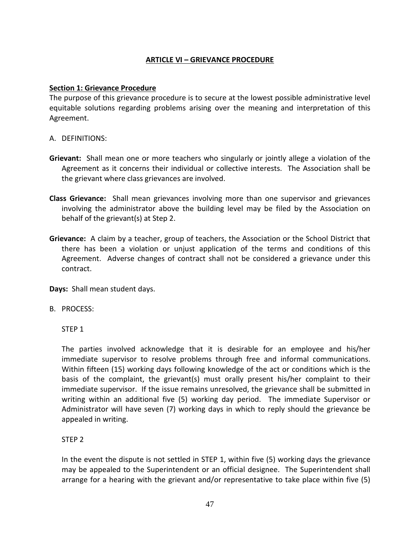#### **ARTICLE VI – GRIEVANCE PROCEDURE**

#### <span id="page-50-1"></span><span id="page-50-0"></span>**Section 1: Grievance Procedure**

The purpose of this grievance procedure is to secure at the lowest possible administrative level equitable solutions regarding problems arising over the meaning and interpretation of this Agreement.

- A. DEFINITIONS:
- **Grievant:** Shall mean one or more teachers who singularly or jointly allege a violation of the Agreement as it concerns their individual or collective interests. The Association shall be the grievant where class grievances are involved.
- **Class Grievance:** Shall mean grievances involving more than one supervisor and grievances involving the administrator above the building level may be filed by the Association on behalf of the grievant(s) at Step 2.
- **Grievance:** A claim by a teacher, group of teachers, the Association or the School District that there has been a violation or unjust application of the terms and conditions of this Agreement. Adverse changes of contract shall not be considered a grievance under this contract.

**Days:** Shall mean student days.

#### B. PROCESS:

STEP 1

The parties involved acknowledge that it is desirable for an employee and his/her immediate supervisor to resolve problems through free and informal communications. Within fifteen (15) working days following knowledge of the act or conditions which is the basis of the complaint, the grievant(s) must orally present his/her complaint to their immediate supervisor. If the issue remains unresolved, the grievance shall be submitted in writing within an additional five (5) working day period. The immediate Supervisor or Administrator will have seven (7) working days in which to reply should the grievance be appealed in writing.

#### STEP 2

In the event the dispute is not settled in STEP 1, within five (5) working days the grievance may be appealed to the Superintendent or an official designee. The Superintendent shall arrange for a hearing with the grievant and/or representative to take place within five (5)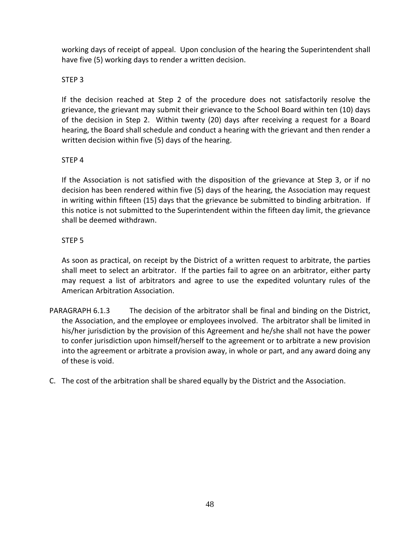working days of receipt of appeal. Upon conclusion of the hearing the Superintendent shall have five (5) working days to render a written decision.

#### STEP 3

If the decision reached at Step 2 of the procedure does not satisfactorily resolve the grievance, the grievant may submit their grievance to the School Board within ten (10) days of the decision in Step 2. Within twenty (20) days after receiving a request for a Board hearing, the Board shall schedule and conduct a hearing with the grievant and then render a written decision within five (5) days of the hearing.

#### STEP 4

If the Association is not satisfied with the disposition of the grievance at Step 3, or if no decision has been rendered within five (5) days of the hearing, the Association may request in writing within fifteen (15) days that the grievance be submitted to binding arbitration. If this notice is not submitted to the Superintendent within the fifteen day limit, the grievance shall be deemed withdrawn.

#### STEP 5

As soon as practical, on receipt by the District of a written request to arbitrate, the parties shall meet to select an arbitrator. If the parties fail to agree on an arbitrator, either party may request a list of arbitrators and agree to use the expedited voluntary rules of the American Arbitration Association.

- PARAGRAPH 6.1.3 The decision of the arbitrator shall be final and binding on the District, the Association, and the employee or employees involved. The arbitrator shall be limited in his/her jurisdiction by the provision of this Agreement and he/she shall not have the power to confer jurisdiction upon himself/herself to the agreement or to arbitrate a new provision into the agreement or arbitrate a provision away, in whole or part, and any award doing any of these is void.
- C. The cost of the arbitration shall be shared equally by the District and the Association.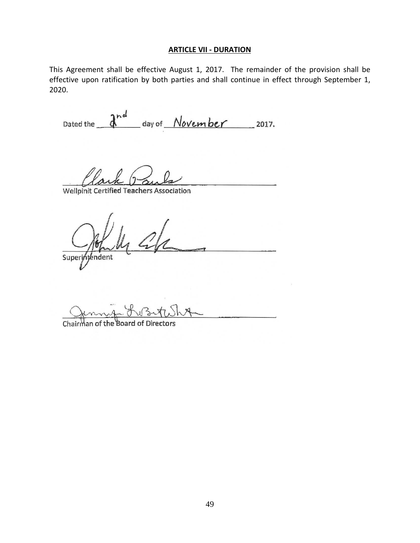#### **ARTICLE VII - DURATION**

<span id="page-52-0"></span>This Agreement shall be effective August 1, 2017. The remainder of the provision shall be effective upon ratification by both parties and shall continue in effect through September 1, 2020.

Dated the  $\frac{a^{nd}}{d}$  day of *November* 2017.

Wellpinit Certified Teachers Association

Superintendent

Chairman the Boar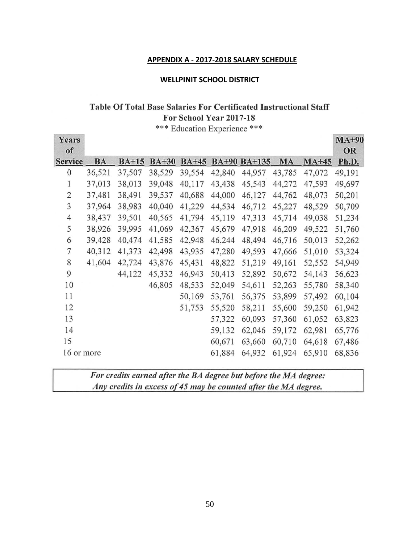#### **APPENDIX A - 2017-2018 SALARY SCHEDULE**

#### **WELLPINIT SCHOOL DISTRICT**

#### <span id="page-53-0"></span>Table Of Total Base Salaries For Certificated Instructional Staff

For School Year 2017-18

\*\*\* Education Experience \*\*\*

| Years<br>of    |           |         |              |         |              |               |           |         | $MA+90$<br><b>OR</b> |
|----------------|-----------|---------|--------------|---------|--------------|---------------|-----------|---------|----------------------|
| <b>Service</b> | <b>BA</b> | $BA+15$ | <b>BA+30</b> | $BA+45$ | <b>BA+90</b> | <b>BA+135</b> | <b>MA</b> | $MA+45$ | Ph.D.                |
| $\mathbf{0}$   | 36,521    | 37,507  | 38,529       | 39,554  | 42,840       | 44,957        | 43,785    | 47,072  | 49,191               |
| 1              | 37,013    | 38,013  | 39,048       | 40,117  | 43,438       | 45,543        | 44,272    | 47,593  | 49,697               |
| $\overline{2}$ | 37,481    | 38,491  | 39,537       | 40,688  | 44,000       | 46,127        | 44,762    | 48,073  | 50,201               |
| 3              | 37,964    | 38,983  | 40,040       | 41,229  | 44,534       | 46,712        | 45,227    | 48,529  | 50,709               |
| $\overline{4}$ | 38,437    | 39,501  | 40,565       | 41,794  | 45,119       | 47,313        | 45,714    | 49,038  | 51,234               |
| 5              | 38,926    | 39,995  | 41,069       | 42,367  | 45,679       | 47,918        | 46,209    | 49,522  | 51,760               |
| 6              | 39,428    | 40,474  | 41,585       | 42,948  | 46,244       | 48,494        | 46,716    | 50,013  | 52,262               |
| 7              | 40,312    | 41,373  | 42,498       | 43,935  | 47,280       | 49,593        | 47,666    | 51,010  | 53,324               |
| 8              | 41,604    | 42,724  | 43,876       | 45,431  | 48,822       | 51,219        | 49,161    | 52,552  | 54,949               |
| 9              |           | 44,122  | 45,332       | 46,943  | 50,413       | 52,892        | 50,672    | 54,143  | 56,623               |
| 10             |           |         | 46,805       | 48,533  | 52,049       | 54,611        | 52,263    | 55,780  | 58,340               |
| 11             |           |         |              | 50,169  | 53,761       | 56,375        | 53,899    | 57,492  | 60,104               |
| 12             |           |         |              | 51,753  | 55,520       | 58,211        | 55,600    | 59,250  | 61,942               |
| 13             |           |         |              |         | 57,322       | 60,093        | 57,360    | 61,052  | 63,823               |
| 14             |           |         |              |         | 59,132       | 62,046        | 59,172    | 62,981  | 65,776               |
| 15             |           |         |              |         | 60,671       | 63,660        | 60,710    | 64,618  | 67,486               |
| 16 or more     |           |         |              |         | 61,884       | 64,932        | 61,924    | 65,910  | 68,836               |
|                |           |         |              |         |              |               |           |         |                      |

| For credits earned after the BA degree but before the MA degree: |  |
|------------------------------------------------------------------|--|
| Any credits in excess of 45 may be counted after the MA degree.  |  |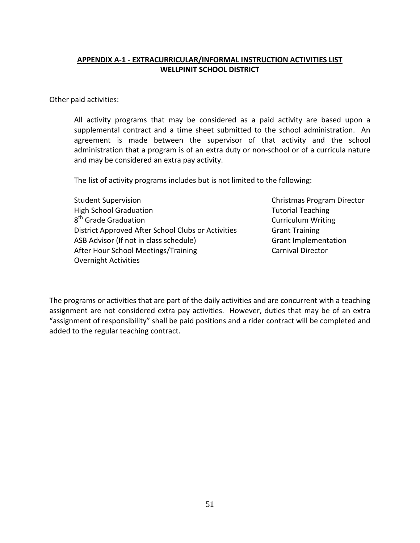#### <span id="page-54-0"></span>**APPENDIX A-1 - EXTRACURRICULAR/INFORMAL INSTRUCTION ACTIVITIES LIST WELLPINIT SCHOOL DISTRICT**

Other paid activities:

All activity programs that may be considered as a paid activity are based upon a supplemental contract and a time sheet submitted to the school administration. An agreement is made between the supervisor of that activity and the school administration that a program is of an extra duty or non-school or of a curricula nature and may be considered an extra pay activity.

The list of activity programs includes but is not limited to the following:

Student Supervision **Christmas Program Director** Christmas Program Director High School Graduation Tutorial Teaching  $8<sup>th</sup>$  Grade Graduation Curriculum Writing District Approved After School Clubs or Activities Grant Training ASB Advisor (If not in class schedule) Grant Implementation After Hour School Meetings/Training Carnival Director Overnight Activities

The programs or activities that are part of the daily activities and are concurrent with a teaching assignment are not considered extra pay activities. However, duties that may be of an extra "assignment of responsibility" shall be paid positions and a rider contract will be completed and added to the regular teaching contract.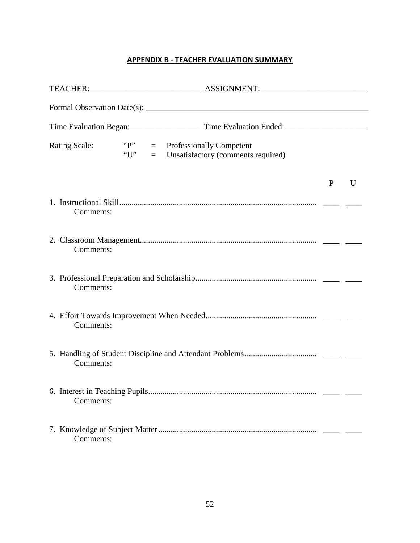#### **APPENDIX B - TEACHER EVALUATION SUMMARY**

<span id="page-55-0"></span>

| <b>Rating Scale:</b> | "P"<br>"U" | $=$<br>$=$ | <b>Professionally Competent</b><br>Unsatisfactory (comments required) |              |              |
|----------------------|------------|------------|-----------------------------------------------------------------------|--------------|--------------|
|                      |            |            |                                                                       | $\mathbf{P}$ | $\mathbf{U}$ |
| Comments:            |            |            |                                                                       |              |              |
| Comments:            |            |            |                                                                       |              |              |
| Comments:            |            |            |                                                                       |              |              |
| Comments:            |            |            |                                                                       |              |              |
| Comments:            |            |            |                                                                       |              |              |
| Comments:            |            |            |                                                                       |              |              |
| Comments:            |            |            |                                                                       |              |              |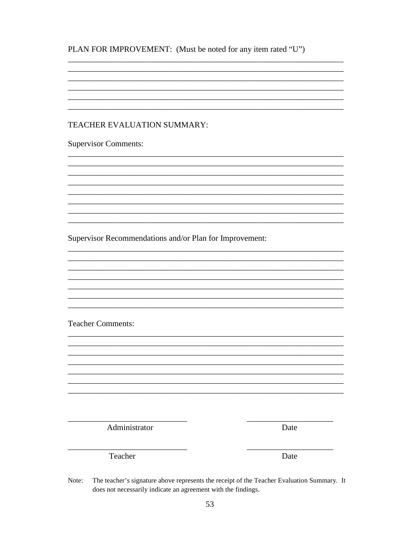| PLAN FOR IMPROVEMENT: (Must be noted for any item rated "U") |  |  |  |
|--------------------------------------------------------------|--|--|--|
|--------------------------------------------------------------|--|--|--|

#### TEACHER EVALUATION SUMMARY:

**Supervisor Comments:** 

Supervisor Recommendations and/or Plan for Improvement:

**Teacher Comments:** 

Administrator

Date

Teacher

Date

 $\overline{\phantom{a}}$ 

The teacher's signature above represents the receipt of the Teacher Evaluation Summary. It Note: does not necessarily indicate an agreement with the findings.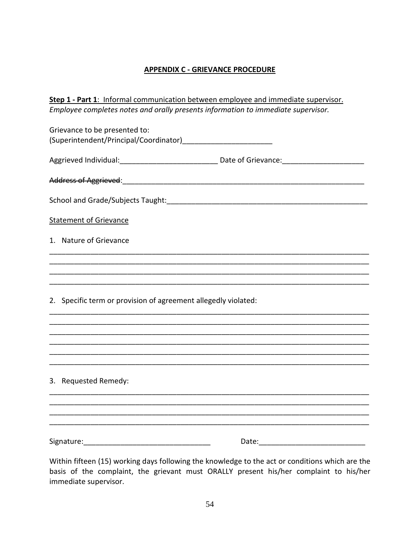#### **APPENDIX C - GRIEVANCE PROCEDURE**

<span id="page-57-0"></span>

| Step 1 - Part 1: Informal communication between employee and immediate supervisor.                  |  |
|-----------------------------------------------------------------------------------------------------|--|
| Employee completes notes and orally presents information to immediate supervisor.                   |  |
| Grievance to be presented to:                                                                       |  |
|                                                                                                     |  |
| Aggrieved Individual: ___________________________________ Date of Grievance: ______________________ |  |
|                                                                                                     |  |
|                                                                                                     |  |
| <b>Statement of Grievance</b>                                                                       |  |
| 1. Nature of Grievance                                                                              |  |
|                                                                                                     |  |
|                                                                                                     |  |
| 2. Specific term or provision of agreement allegedly violated:                                      |  |
|                                                                                                     |  |
|                                                                                                     |  |
|                                                                                                     |  |
|                                                                                                     |  |
| 3. Requested Remedy:                                                                                |  |
|                                                                                                     |  |
|                                                                                                     |  |
| Signature: Management Communications                                                                |  |

Within fifteen (15) working days following the knowledge to the act or conditions which are the basis of the complaint, the grievant must ORALLY present his/her complaint to his/her immediate supervisor.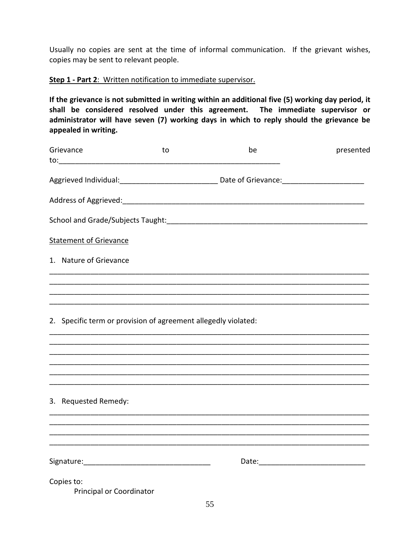Usually no copies are sent at the time of informal communication. If the grievant wishes, copies may be sent to relevant people.

#### **Step 1 - Part 2**: Written notification to immediate supervisor.

**If the grievance is not submitted in writing within an additional five (5) working day period, it shall be considered resolved under this agreement. The immediate supervisor or administrator will have seven (7) working days in which to reply should the grievance be appealed in writing.**

| Grievance<br>to: ___________________________ | to                                                             | be                                                                                                   | presented |
|----------------------------------------------|----------------------------------------------------------------|------------------------------------------------------------------------------------------------------|-----------|
|                                              |                                                                | Aggrieved Individual: ___________________________________ Date of Grievance: _______________________ |           |
|                                              |                                                                |                                                                                                      |           |
|                                              |                                                                |                                                                                                      |           |
| <b>Statement of Grievance</b>                |                                                                |                                                                                                      |           |
| 1. Nature of Grievance                       |                                                                |                                                                                                      |           |
|                                              |                                                                |                                                                                                      |           |
|                                              | 2. Specific term or provision of agreement allegedly violated: |                                                                                                      |           |
| 3. Requested Remedy:                         |                                                                |                                                                                                      |           |
|                                              |                                                                |                                                                                                      |           |
| Copies to:<br>Principal or Coordinator       |                                                                |                                                                                                      |           |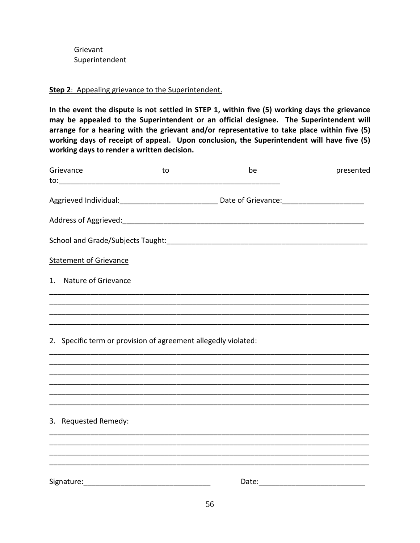Grievant Superintendent

#### **Step 2**: Appealing grievance to the Superintendent.

**In the event the dispute is not settled in STEP 1, within five (5) working days the grievance may be appealed to the Superintendent or an official designee. The Superintendent will arrange for a hearing with the grievant and/or representative to take place within five (5) working days of receipt of appeal. Upon conclusion, the Superintendent will have five (5) working days to render a written decision.**

| Grievance                                                      | to | be                                                                                                   | presented |
|----------------------------------------------------------------|----|------------------------------------------------------------------------------------------------------|-----------|
|                                                                |    | Aggrieved Individual: ___________________________________ Date of Grievance: _______________________ |           |
|                                                                |    |                                                                                                      |           |
|                                                                |    |                                                                                                      |           |
| <b>Statement of Grievance</b>                                  |    |                                                                                                      |           |
| 1. Nature of Grievance                                         |    |                                                                                                      |           |
|                                                                |    | <u> 1980 - Jan Barnett, fransk politik (d. 1980)</u>                                                 |           |
|                                                                |    |                                                                                                      |           |
| 2. Specific term or provision of agreement allegedly violated: |    |                                                                                                      |           |
|                                                                |    |                                                                                                      |           |
|                                                                |    |                                                                                                      |           |
|                                                                |    |                                                                                                      |           |
| 3. Requested Remedy:                                           |    |                                                                                                      |           |
|                                                                |    |                                                                                                      |           |
|                                                                |    |                                                                                                      |           |
|                                                                |    |                                                                                                      |           |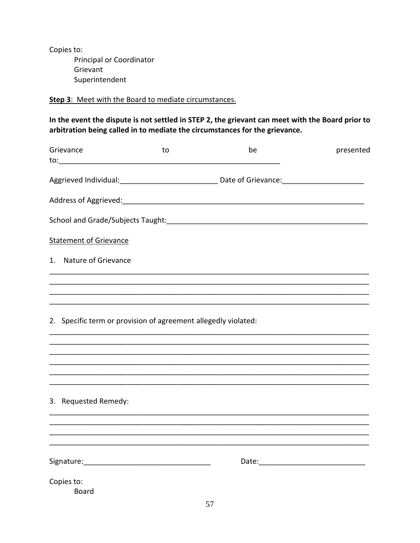Copies to: Principal or Coordinator Grievant Superintendent

#### Step 3: Meet with the Board to mediate circumstances.

In the event the dispute is not settled in STEP 2, the grievant can meet with the Board prior to arbitration being called in to mediate the circumstances for the grievance.

| Grievance                                                      | to | be                                                                                                   | presented |
|----------------------------------------------------------------|----|------------------------------------------------------------------------------------------------------|-----------|
|                                                                |    | Aggrieved Individual: ___________________________________ Date of Grievance: _______________________ |           |
|                                                                |    |                                                                                                      |           |
|                                                                |    |                                                                                                      |           |
| <b>Statement of Grievance</b>                                  |    |                                                                                                      |           |
| 1. Nature of Grievance                                         |    |                                                                                                      |           |
|                                                                |    |                                                                                                      |           |
|                                                                |    |                                                                                                      |           |
| 2. Specific term or provision of agreement allegedly violated: |    |                                                                                                      |           |
|                                                                |    |                                                                                                      |           |
|                                                                |    |                                                                                                      |           |
|                                                                |    |                                                                                                      |           |
| 3. Requested Remedy:                                           |    |                                                                                                      |           |
|                                                                |    |                                                                                                      |           |
|                                                                |    |                                                                                                      |           |
|                                                                |    |                                                                                                      |           |
| Copies to:<br>Board                                            |    |                                                                                                      |           |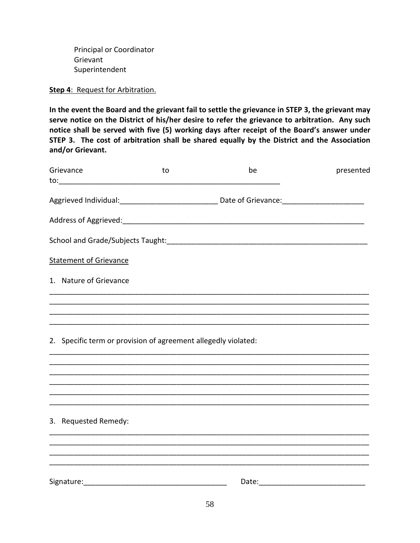Principal or Coordinator Grievant Superintendent

#### **Step 4**: Request for Arbitration.

**In the event the Board and the grievant fail to settle the grievance in STEP 3, the grievant may serve notice on the District of his/her desire to refer the grievance to arbitration. Any such notice shall be served with five (5) working days after receipt of the Board's answer under STEP 3. The cost of arbitration shall be shared equally by the District and the Association and/or Grievant.**

| Grievance                                                      | to | be                                                                                                  | presented |
|----------------------------------------------------------------|----|-----------------------------------------------------------------------------------------------------|-----------|
|                                                                |    | Aggrieved Individual: ___________________________________Date of Grievance: _______________________ |           |
|                                                                |    | Address of Aggrieved: Manual Address of Aggrieved: Manual Address of Aggrieved:                     |           |
|                                                                |    |                                                                                                     |           |
| <b>Statement of Grievance</b>                                  |    |                                                                                                     |           |
| 1. Nature of Grievance                                         |    |                                                                                                     |           |
|                                                                |    |                                                                                                     |           |
|                                                                |    |                                                                                                     |           |
| 2. Specific term or provision of agreement allegedly violated: |    |                                                                                                     |           |
|                                                                |    |                                                                                                     |           |
|                                                                |    |                                                                                                     |           |
|                                                                |    |                                                                                                     |           |
| 3. Requested Remedy:                                           |    |                                                                                                     |           |
|                                                                |    |                                                                                                     |           |
|                                                                |    |                                                                                                     |           |
|                                                                |    |                                                                                                     |           |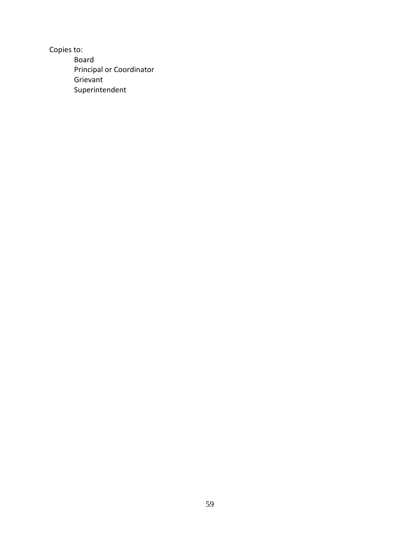Copies to: Board Principal or Coordinator Grievant Superintendent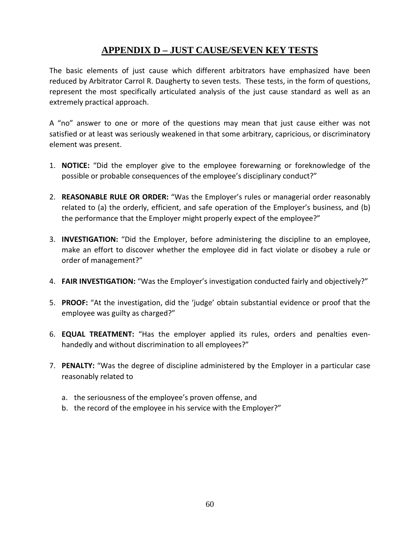### **APPENDIX D – JUST CAUSE/SEVEN KEY TESTS**

<span id="page-63-0"></span>The basic elements of just cause which different arbitrators have emphasized have been reduced by Arbitrator Carrol R. Daugherty to seven tests. These tests, in the form of questions, represent the most specifically articulated analysis of the just cause standard as well as an extremely practical approach.

A "no" answer to one or more of the questions may mean that just cause either was not satisfied or at least was seriously weakened in that some arbitrary, capricious, or discriminatory element was present.

- 1. **NOTICE:** "Did the employer give to the employee forewarning or foreknowledge of the possible or probable consequences of the employee's disciplinary conduct?"
- 2. **REASONABLE RULE OR ORDER:** "Was the Employer's rules or managerial order reasonably related to (a) the orderly, efficient, and safe operation of the Employer's business, and (b) the performance that the Employer might properly expect of the employee?"
- 3. **INVESTIGATION:** "Did the Employer, before administering the discipline to an employee, make an effort to discover whether the employee did in fact violate or disobey a rule or order of management?"
- 4. **FAIR INVESTIGATION:** "Was the Employer's investigation conducted fairly and objectively?"
- 5. **PROOF:** "At the investigation, did the 'judge' obtain substantial evidence or proof that the employee was guilty as charged?"
- 6. **EQUAL TREATMENT:** "Has the employer applied its rules, orders and penalties evenhandedly and without discrimination to all employees?"
- 7. **PENALTY:** "Was the degree of discipline administered by the Employer in a particular case reasonably related to
	- a. the seriousness of the employee's proven offense, and
	- b. the record of the employee in his service with the Employer?"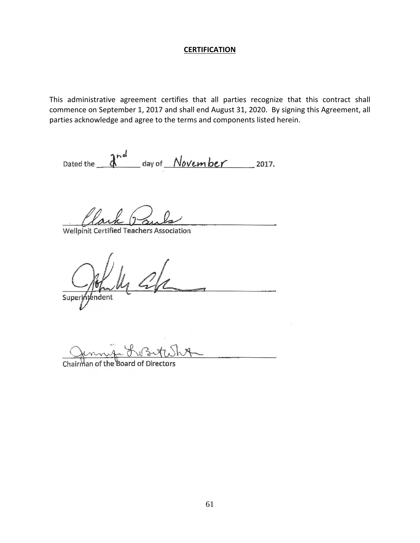#### **CERTIFICATION**

<span id="page-64-0"></span>This administrative agreement certifies that all parties recognize that this contract shall commence on September 1, 2017 and shall end August 31, 2020. By signing this Agreement, all parties acknowledge and agree to the terms and components listed herein.

Dated the  $\frac{d^{nd}}{dx^{nd}}$  day of *November* 2017.

 $\mathcal{A}$ ark $\mathcal{D}$ ants

Wellpinit Certified Teachers Association

 $\frac{1}{\sqrt{2\pi}}$ 

 $S$ uper $y$ iyend

Chairman of the Board of Directors